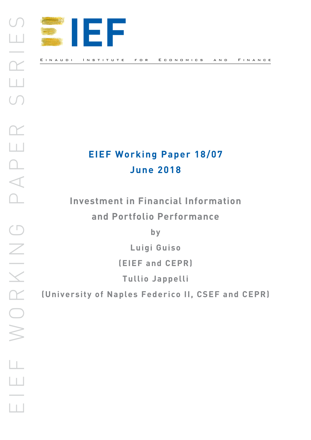

# **EIEF Working Paper 18/07 June 2018**

**Investment in Financial Information and Portfolio Performance**

**by**

**Luigi Guiso**

**(EIEF and CEPR)** 

**Tullio Jappelli**

**(University of Naples Federico II, CSEF and CEPR)**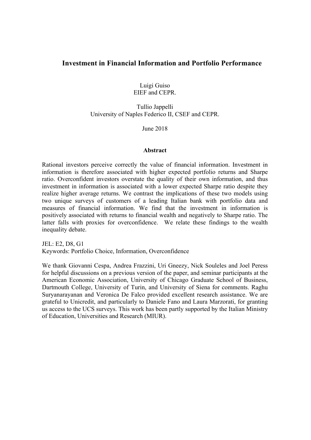## **Investment in Financial Information and Portfolio Performance**

Luigi Guiso EIEF and CEPR.

Tullio Jappelli University of Naples Federico II, CSEF and CEPR.

June 2018

## **Abstract**

Rational investors perceive correctly the value of financial information. Investment in information is therefore associated with higher expected portfolio returns and Sharpe ratio. Overconfident investors overstate the quality of their own information, and thus investment in information is associated with a lower expected Sharpe ratio despite they realize higher average returns. We contrast the implications of these two models using two unique surveys of customers of a leading Italian bank with portfolio data and measures of financial information. We find that the investment in information is positively associated with returns to financial wealth and negatively to Sharpe ratio. The latter falls with proxies for overconfidence. We relate these findings to the wealth inequality debate.

JEL: E2, D8, G1 Keywords: Portfolio Choice, Information, Overconfidence

We thank Giovanni Cespa, Andrea Frazzini, Uri Gneezy, Nick Souleles and Joel Peress for helpful discussions on a previous version of the paper, and seminar participants at the American Economic Association, University of Chicago Graduate School of Business, Dartmouth College, University of Turin, and University of Siena for comments. Raghu Suryanarayanan and Veronica De Falco provided excellent research assistance. We are grateful to Unicredit, and particularly to Daniele Fano and Laura Marzorati, for granting us access to the UCS surveys. This work has been partly supported by the Italian Ministry of Education, Universities and Research (MIUR).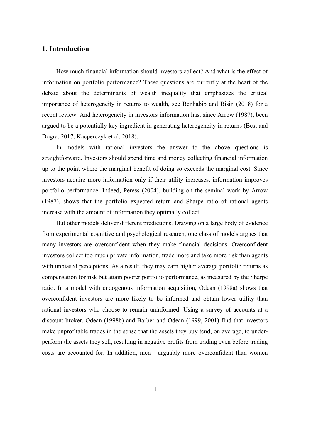## **1. Introduction**

How much financial information should investors collect? And what is the effect of information on portfolio performance? These questions are currently at the heart of the debate about the determinants of wealth inequality that emphasizes the critical importance of heterogeneity in returns to wealth, see Benhabib and Bisin (2018) for a recent review. And heterogeneity in investors information has, since Arrow (1987), been argued to be a potentially key ingredient in generating heterogeneity in returns (Best and Dogra, 2017; Kacperczyk et al. 2018).

In models with rational investors the answer to the above questions is straightforward. Investors should spend time and money collecting financial information up to the point where the marginal benefit of doing so exceeds the marginal cost. Since investors acquire more information only if their utility increases, information improves portfolio performance. Indeed, Peress (2004), building on the seminal work by Arrow (1987), shows that the portfolio expected return and Sharpe ratio of rational agents increase with the amount of information they optimally collect.

But other models deliver different predictions. Drawing on a large body of evidence from experimental cognitive and psychological research, one class of models argues that many investors are overconfident when they make financial decisions. Overconfident investors collect too much private information, trade more and take more risk than agents with unbiased perceptions. As a result, they may earn higher average portfolio returns as compensation for risk but attain poorer portfolio performance, as measured by the Sharpe ratio. In a model with endogenous information acquisition, Odean (1998a) shows that overconfident investors are more likely to be informed and obtain lower utility than rational investors who choose to remain uninformed. Using a survey of accounts at a discount broker, Odean (1998b) and Barber and Odean (1999, 2001) find that investors make unprofitable trades in the sense that the assets they buy tend, on average, to underperform the assets they sell, resulting in negative profits from trading even before trading costs are accounted for. In addition, men - arguably more overconfident than women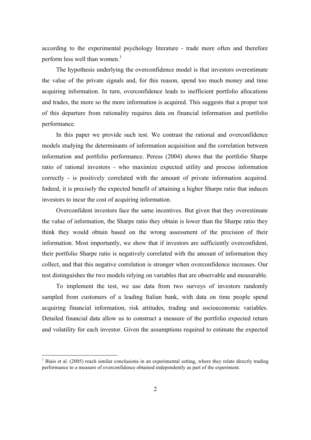according to the experimental psychology literature - trade more often and therefore perform less well than women.<sup>1</sup>

The hypothesis underlying the overconfidence model is that investors overestimate the value of the private signals and, for this reason, spend too much money and time acquiring information. In turn, overconfidence leads to inefficient portfolio allocations and trades, the more so the more information is acquired. This suggests that a proper test of this departure from rationality requires data on financial information and portfolio performance.

In this paper we provide such test. We contrast the rational and overconfidence models studying the determinants of information acquisition and the correlation between information and portfolio performance. Peress (2004) shows that the portfolio Sharpe ratio of rational investors - who maximize expected utility and process information correctly - is positively correlated with the amount of private information acquired. Indeed, it is precisely the expected benefit of attaining a higher Sharpe ratio that induces investors to incur the cost of acquiring information.

Overconfident investors face the same incentives. But given that they overestimate the value of information, the Sharpe ratio they obtain is lower than the Sharpe ratio they think they would obtain based on the wrong assessment of the precision of their information. Most importantly, we show that if investors are sufficiently overconfident, their portfolio Sharpe ratio is negatively correlated with the amount of information they collect, and that this negative correlation is stronger when overconfidence increases. Our test distinguishes the two models relying on variables that are observable and measurable.

To implement the test, we use data from two surveys of investors randomly sampled from customers of a leading Italian bank, with data on time people spend acquiring financial information, risk attitudes, trading and socioeconomic variables. Detailed financial data allow us to construct a measure of the portfolio expected return and volatility for each investor. Given the assumptions required to estimate the expected

 <sup>1</sup> Biais et al. (2005) reach similar conclusions in an experimental setting, where they relate directly trading performance to a measure of overconfidence obtained independently as part of the experiment.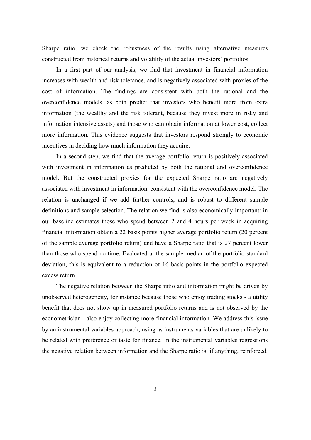Sharpe ratio, we check the robustness of the results using alternative measures constructed from historical returns and volatility of the actual investors' portfolios.

In a first part of our analysis, we find that investment in financial information increases with wealth and risk tolerance, and is negatively associated with proxies of the cost of information. The findings are consistent with both the rational and the overconfidence models, as both predict that investors who benefit more from extra information (the wealthy and the risk tolerant, because they invest more in risky and information intensive assets) and those who can obtain information at lower cost, collect more information. This evidence suggests that investors respond strongly to economic incentives in deciding how much information they acquire.

In a second step, we find that the average portfolio return is positively associated with investment in information as predicted by both the rational and overconfidence model. But the constructed proxies for the expected Sharpe ratio are negatively associated with investment in information, consistent with the overconfidence model. The relation is unchanged if we add further controls, and is robust to different sample definitions and sample selection. The relation we find is also economically important: in our baseline estimates those who spend between 2 and 4 hours per week in acquiring financial information obtain a 22 basis points higher average portfolio return (20 percent of the sample average portfolio return) and have a Sharpe ratio that is 27 percent lower than those who spend no time. Evaluated at the sample median of the portfolio standard deviation, this is equivalent to a reduction of 16 basis points in the portfolio expected excess return.

The negative relation between the Sharpe ratio and information might be driven by unobserved heterogeneity, for instance because those who enjoy trading stocks - a utility benefit that does not show up in measured portfolio returns and is not observed by the econometrician - also enjoy collecting more financial information. We address this issue by an instrumental variables approach, using as instruments variables that are unlikely to be related with preference or taste for finance. In the instrumental variables regressions the negative relation between information and the Sharpe ratio is, if anything, reinforced.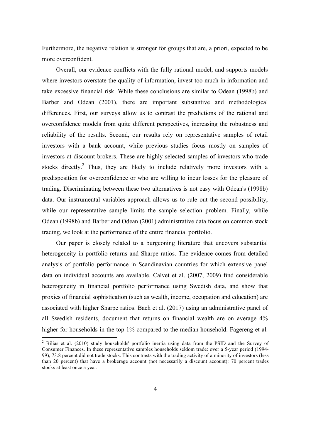Furthermore, the negative relation is stronger for groups that are, a priori, expected to be more overconfident.

Overall, our evidence conflicts with the fully rational model, and supports models where investors overstate the quality of information, invest too much in information and take excessive financial risk. While these conclusions are similar to Odean (1998b) and Barber and Odean (2001), there are important substantive and methodological differences. First, our surveys allow us to contrast the predictions of the rational and overconfidence models from quite different perspectives, increasing the robustness and reliability of the results. Second, our results rely on representative samples of retail investors with a bank account, while previous studies focus mostly on samples of investors at discount brokers. These are highly selected samples of investors who trade stocks directly.<sup>2</sup> Thus, they are likely to include relatively more investors with a predisposition for overconfidence or who are willing to incur losses for the pleasure of trading. Discriminating between these two alternatives is not easy with Odean's (1998b) data. Our instrumental variables approach allows us to rule out the second possibility, while our representative sample limits the sample selection problem. Finally, while Odean (1998b) and Barber and Odean (2001) administrative data focus on common stock trading, we look at the performance of the entire financial portfolio.

Our paper is closely related to a burgeoning literature that uncovers substantial heterogeneity in portfolio returns and Sharpe ratios. The evidence comes from detailed analysis of portfolio performance in Scandinavian countries for which extensive panel data on individual accounts are available. Calvet et al. (2007, 2009) find considerable heterogeneity in financial portfolio performance using Swedish data, and show that proxies of financial sophistication (such as wealth, income, occupation and education) are associated with higher Sharpe ratios. Bach et al. (2017) using an administrative panel of all Swedish residents, document that returns on financial wealth are on average 4% higher for households in the top 1% compared to the median household. Fagereng et al.

 <sup>2</sup> Bilias et al. (2010) study households' portfolio inertia using data from the PSID and the Survey of Consumer Finances. In these representative samples households seldom trade: over a 5-year period (1994- 99), 73.8 percent did not trade stocks. This contrasts with the trading activity of a minority of investors (less than 20 percent) that have a brokerage account (not necessarily a discount account): 70 percent trades stocks at least once a year.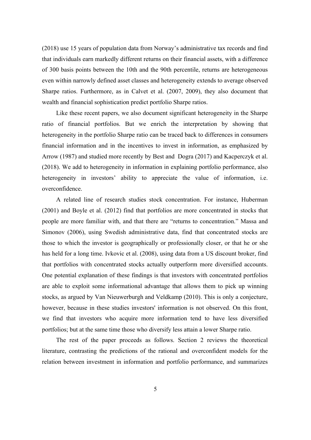(2018) use 15 years of population data from Norway's administrative tax records and find that individuals earn markedly different returns on their financial assets, with a difference of 300 basis points between the 10th and the 90th percentile, returns are heterogeneous even within narrowly defined asset classes and heterogeneity extends to average observed Sharpe ratios. Furthermore, as in Calvet et al. (2007, 2009), they also document that wealth and financial sophistication predict portfolio Sharpe ratios.

Like these recent papers, we also document significant heterogeneity in the Sharpe ratio of financial portfolios. But we enrich the interpretation by showing that heterogeneity in the portfolio Sharpe ratio can be traced back to differences in consumers financial information and in the incentives to invest in information, as emphasized by Arrow (1987) and studied more recently by Best and Dogra (2017) and Kacperczyk et al. (2018). We add to heterogeneity in information in explaining portfolio performance, also heterogeneity in investors' ability to appreciate the value of information, i.e. overconfidence.

A related line of research studies stock concentration. For instance, Huberman (2001) and Boyle et al. (2012) find that portfolios are more concentrated in stocks that people are more familiar with, and that there are "returns to concentration." Massa and Simonov (2006), using Swedish administrative data, find that concentrated stocks are those to which the investor is geographically or professionally closer, or that he or she has held for a long time. Ivkovic et al. (2008), using data from a US discount broker, find that portfolios with concentrated stocks actually outperform more diversified accounts. One potential explanation of these findings is that investors with concentrated portfolios are able to exploit some informational advantage that allows them to pick up winning stocks, as argued by Van Nieuwerburgh and Veldkamp (2010). This is only a conjecture, however, because in these studies investors' information is not observed. On this front, we find that investors who acquire more information tend to have less diversified portfolios; but at the same time those who diversify less attain a lower Sharpe ratio.

The rest of the paper proceeds as follows. Section 2 reviews the theoretical literature, contrasting the predictions of the rational and overconfident models for the relation between investment in information and portfolio performance, and summarizes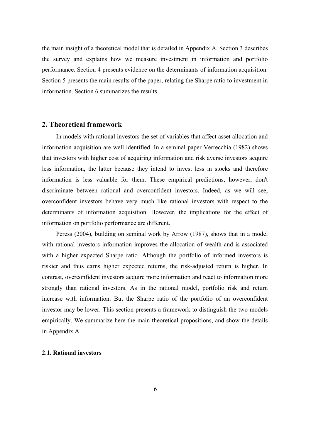the main insight of a theoretical model that is detailed in Appendix A. Section 3 describes the survey and explains how we measure investment in information and portfolio performance. Section 4 presents evidence on the determinants of information acquisition. Section 5 presents the main results of the paper, relating the Sharpe ratio to investment in information. Section 6 summarizes the results.

## **2. Theoretical framework**

In models with rational investors the set of variables that affect asset allocation and information acquisition are well identified. In a seminal paper Verrecchia (1982) shows that investors with higher cost of acquiring information and risk averse investors acquire less information, the latter because they intend to invest less in stocks and therefore information is less valuable for them. These empirical predictions, however, don't discriminate between rational and overconfident investors. Indeed, as we will see, overconfident investors behave very much like rational investors with respect to the determinants of information acquisition. However, the implications for the effect of information on portfolio performance are different.

Peress (2004), building on seminal work by Arrow (1987), shows that in a model with rational investors information improves the allocation of wealth and is associated with a higher expected Sharpe ratio. Although the portfolio of informed investors is riskier and thus earns higher expected returns, the risk-adjusted return is higher. In contrast, overconfident investors acquire more information and react to information more strongly than rational investors. As in the rational model, portfolio risk and return increase with information. But the Sharpe ratio of the portfolio of an overconfident investor may be lower. This section presents a framework to distinguish the two models empirically. We summarize here the main theoretical propositions, and show the details in Appendix A.

## **2.1. Rational investors**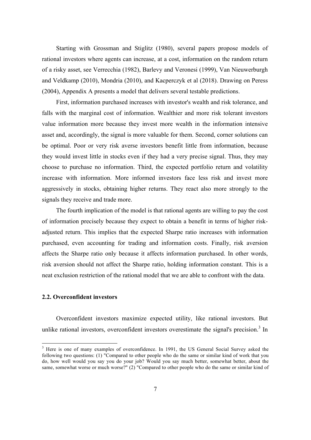Starting with Grossman and Stiglitz (1980), several papers propose models of rational investors where agents can increase, at a cost, information on the random return of a risky asset, see Verrecchia (1982), Barlevy and Veronesi (1999), Van Nieuwerburgh and Veldkamp (2010), Mondria (2010), and Kacperczyk et al (2018). Drawing on Peress (2004), Appendix A presents a model that delivers several testable predictions.

First, information purchased increases with investor's wealth and risk tolerance, and falls with the marginal cost of information. Wealthier and more risk tolerant investors value information more because they invest more wealth in the information intensive asset and, accordingly, the signal is more valuable for them. Second, corner solutions can be optimal. Poor or very risk averse investors benefit little from information, because they would invest little in stocks even if they had a very precise signal. Thus, they may choose to purchase no information. Third, the expected portfolio return and volatility increase with information. More informed investors face less risk and invest more aggressively in stocks, obtaining higher returns. They react also more strongly to the signals they receive and trade more.

The fourth implication of the model is that rational agents are willing to pay the cost of information precisely because they expect to obtain a benefit in terms of higher riskadjusted return. This implies that the expected Sharpe ratio increases with information purchased, even accounting for trading and information costs. Finally, risk aversion affects the Sharpe ratio only because it affects information purchased. In other words, risk aversion should not affect the Sharpe ratio, holding information constant. This is a neat exclusion restriction of the rational model that we are able to confront with the data.

## **2.2. Overconfident investors**

Overconfident investors maximize expected utility, like rational investors. But unlike rational investors, overconfident investors overestimate the signal's precision.<sup>3</sup> In

<sup>&</sup>lt;sup>3</sup> Here is one of many examples of overconfidence. In 1991, the US General Social Survey asked the following two questions: (1) "Compared to other people who do the same or similar kind of work that you do, how well would you say you do your job? Would you say much better, somewhat better, about the same, somewhat worse or much worse?" (2) "Compared to other people who do the same or similar kind of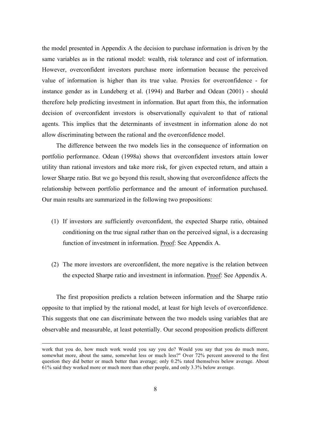the model presented in Appendix A the decision to purchase information is driven by the same variables as in the rational model: wealth, risk tolerance and cost of information. However, overconfident investors purchase more information because the perceived value of information is higher than its true value. Proxies for overconfidence - for instance gender as in Lundeberg et al. (1994) and Barber and Odean (2001) - should therefore help predicting investment in information. But apart from this, the information decision of overconfident investors is observationally equivalent to that of rational agents. This implies that the determinants of investment in information alone do not allow discriminating between the rational and the overconfidence model.

The difference between the two models lies in the consequence of information on portfolio performance. Odean (1998a) shows that overconfident investors attain lower utility than rational investors and take more risk, for given expected return, and attain a lower Sharpe ratio. But we go beyond this result, showing that overconfidence affects the relationship between portfolio performance and the amount of information purchased. Our main results are summarized in the following two propositions:

- (1) If investors are sufficiently overconfident, the expected Sharpe ratio, obtained conditioning on the true signal rather than on the perceived signal, is a decreasing function of investment in information. Proof: See Appendix A.
- (2) The more investors are overconfident, the more negative is the relation between the expected Sharpe ratio and investment in information. Proof: See Appendix A.

The first proposition predicts a relation between information and the Sharpe ratio opposite to that implied by the rational model, at least for high levels of overconfidence. This suggests that one can discriminate between the two models using variables that are observable and measurable, at least potentially. Our second proposition predicts different

work that you do, how much work would you say you do? Would you say that you do much more, somewhat more, about the same, somewhat less or much less?" Over 72% percent answered to the first question they did better or much better than average; only 0.2% rated themselves below average. About 61% said they worked more or much more than other people, and only 3.3% below average.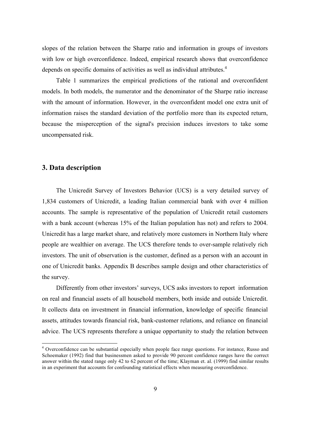slopes of the relation between the Sharpe ratio and information in groups of investors with low or high overconfidence. Indeed, empirical research shows that overconfidence depends on specific domains of activities as well as individual attributes.<sup>4</sup>

Table 1 summarizes the empirical predictions of the rational and overconfident models. In both models, the numerator and the denominator of the Sharpe ratio increase with the amount of information. However, in the overconfident model one extra unit of information raises the standard deviation of the portfolio more than its expected return, because the misperception of the signal's precision induces investors to take some uncompensated risk.

## **3. Data description**

The Unicredit Survey of Investors Behavior (UCS) is a very detailed survey of 1,834 customers of Unicredit, a leading Italian commercial bank with over 4 million accounts. The sample is representative of the population of Unicredit retail customers with a bank account (whereas 15% of the Italian population has not) and refers to 2004. Unicredit has a large market share, and relatively more customers in Northern Italy where people are wealthier on average. The UCS therefore tends to over-sample relatively rich investors. The unit of observation is the customer, defined as a person with an account in one of Unicredit banks. Appendix B describes sample design and other characteristics of the survey.

Differently from other investors' surveys, UCS asks investors to report information on real and financial assets of all household members, both inside and outside Unicredit. It collects data on investment in financial information, knowledge of specific financial assets, attitudes towards financial risk, bank-customer relations, and reliance on financial advice. The UCS represents therefore a unique opportunity to study the relation between

 <sup>4</sup> Overconfidence can be substantial especially when people face range questions. For instance, Russo and Schoemaker (1992) find that businessmen asked to provide 90 percent confidence ranges have the correct answer within the stated range only 42 to 62 percent of the time; Klayman et. al. (1999) find similar results in an experiment that accounts for confounding statistical effects when measuring overconfidence.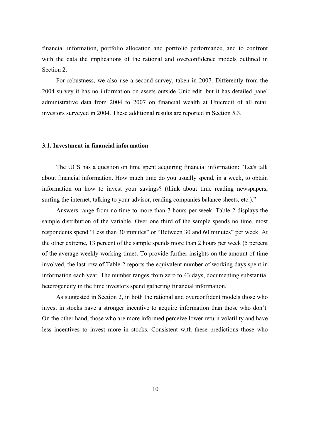financial information, portfolio allocation and portfolio performance, and to confront with the data the implications of the rational and overconfidence models outlined in Section 2.

For robustness, we also use a second survey, taken in 2007. Differently from the 2004 survey it has no information on assets outside Unicredit, but it has detailed panel administrative data from 2004 to 2007 on financial wealth at Unicredit of all retail investors surveyed in 2004. These additional results are reported in Section 5.3.

## **3.1. Investment in financial information**

The UCS has a question on time spent acquiring financial information: "Let's talk about financial information. How much time do you usually spend, in a week, to obtain information on how to invest your savings? (think about time reading newspapers, surfing the internet, talking to your advisor, reading companies balance sheets, etc.)."

Answers range from no time to more than 7 hours per week. Table 2 displays the sample distribution of the variable. Over one third of the sample spends no time, most respondents spend "Less than 30 minutes" or "Between 30 and 60 minutes" per week. At the other extreme, 13 percent of the sample spends more than 2 hours per week (5 percent of the average weekly working time). To provide further insights on the amount of time involved, the last row of Table 2 reports the equivalent number of working days spent in information each year. The number ranges from zero to 43 days, documenting substantial heterogeneity in the time investors spend gathering financial information.

As suggested in Section 2, in both the rational and overconfident models those who invest in stocks have a stronger incentive to acquire information than those who don't. On the other hand, those who are more informed perceive lower return volatility and have less incentives to invest more in stocks. Consistent with these predictions those who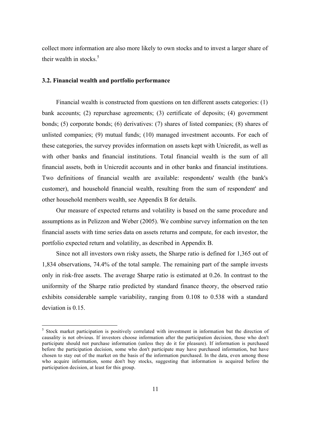collect more information are also more likely to own stocks and to invest a larger share of their wealth in stocks. $5$ 

## **3.2. Financial wealth and portfolio performance**

Financial wealth is constructed from questions on ten different assets categories: (1) bank accounts; (2) repurchase agreements; (3) certificate of deposits; (4) government bonds; (5) corporate bonds; (6) derivatives: (7) shares of listed companies; (8) shares of unlisted companies; (9) mutual funds; (10) managed investment accounts. For each of these categories, the survey provides information on assets kept with Unicredit, as well as with other banks and financial institutions. Total financial wealth is the sum of all financial assets, both in Unicredit accounts and in other banks and financial institutions. Two definitions of financial wealth are available: respondents' wealth (the bank's customer), and household financial wealth, resulting from the sum of respondent' and other household members wealth, see Appendix B for details.

Our measure of expected returns and volatility is based on the same procedure and assumptions as in Pelizzon and Weber (2005). We combine survey information on the ten financial assets with time series data on assets returns and compute, for each investor, the portfolio expected return and volatility, as described in Appendix B.

Since not all investors own risky assets, the Sharpe ratio is defined for 1,365 out of 1,834 observations, 74.4% of the total sample. The remaining part of the sample invests only in risk-free assets. The average Sharpe ratio is estimated at 0.26. In contrast to the uniformity of the Sharpe ratio predicted by standard finance theory, the observed ratio exhibits considerable sample variability, ranging from 0.108 to 0.538 with a standard deviation is 0.15.

<sup>&</sup>lt;sup>5</sup> Stock market participation is positively correlated with investment in information but the direction of causality is not obvious. If investors choose information after the participation decision, those who don't participate should not purchase information (unless they do it for pleasure). If information is purchased before the participation decision, some who don't participate may have purchased information, but have chosen to stay out of the market on the basis of the information purchased. In the data, even among those who acquire information, some don't buy stocks, suggesting that information is acquired before the participation decision, at least for this group.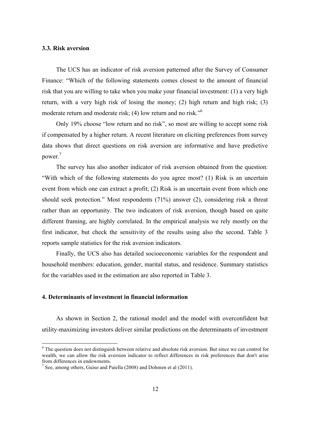## **3.3. Risk aversion**

The UCS has an indicator of risk aversion patterned after the Survey of Consumer Finance: "Which of the following statements comes closest to the amount of financial risk that you are willing to take when you make your financial investment: (1) a very high return, with a very high risk of losing the money; (2) high return and high risk; (3) moderate return and moderate risk; (4) low return and no risk.<sup>56</sup>

Only 19% choose "low return and no risk", so most are willing to accept some risk if compensated by a higher return. A recent literature on eliciting preferences from survey data shows that direct questions on risk aversion are informative and have predictive power.7

The survey has also another indicator of risk aversion obtained from the question: "With which of the following statements do you agree most? (1) Risk is an uncertain event from which one can extract a profit; (2) Risk is an uncertain event from which one should seek protection." Most respondents (71%) answer (2), considering risk a threat rather than an opportunity. The two indicators of risk aversion, though based on quite different framing, are highly correlated. In the empirical analysis we rely mostly on the first indicator, but check the sensitivity of the results using also the second. Table 3 reports sample statistics for the risk aversion indicators.

Finally, the UCS also has detailed socioeconomic variables for the respondent and household members: education, gender, marital status, and residence. Summary statistics for the variables used in the estimation are also reported in Table 3.

## **4. Determinants of investment in financial information**

As shown in Section 2, the rational model and the model with overconfident but utility-maximizing investors deliver similar predictions on the determinants of investment

<sup>&</sup>lt;sup>6</sup> The question does not distinguish between relative and absolute risk aversion. But since we can control for wealth, we can allow the risk aversion indicator to reflect differences in risk preferences that don't arise from differences in endowments.

<sup>&</sup>lt;sup>7</sup> See, among others, Guiso and Paiella (2008) and Dohmen et al (2011).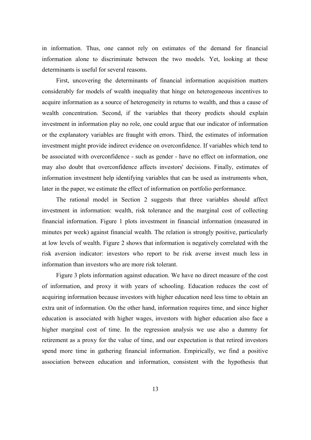in information. Thus, one cannot rely on estimates of the demand for financial information alone to discriminate between the two models. Yet, looking at these determinants is useful for several reasons.

First, uncovering the determinants of financial information acquisition matters considerably for models of wealth inequality that hinge on heterogeneous incentives to acquire information as a source of heterogeneity in returns to wealth, and thus a cause of wealth concentration. Second, if the variables that theory predicts should explain investment in information play no role, one could argue that our indicator of information or the explanatory variables are fraught with errors. Third, the estimates of information investment might provide indirect evidence on overconfidence. If variables which tend to be associated with overconfidence - such as gender - have no effect on information, one may also doubt that overconfidence affects investors' decisions. Finally, estimates of information investment help identifying variables that can be used as instruments when, later in the paper, we estimate the effect of information on portfolio performance.

The rational model in Section 2 suggests that three variables should affect investment in information: wealth, risk tolerance and the marginal cost of collecting financial information. Figure 1 plots investment in financial information (measured in minutes per week) against financial wealth. The relation is strongly positive, particularly at low levels of wealth. Figure 2 shows that information is negatively correlated with the risk aversion indicator: investors who report to be risk averse invest much less in information than investors who are more risk tolerant.

Figure 3 plots information against education. We have no direct measure of the cost of information, and proxy it with years of schooling. Education reduces the cost of acquiring information because investors with higher education need less time to obtain an extra unit of information. On the other hand, information requires time, and since higher education is associated with higher wages, investors with higher education also face a higher marginal cost of time. In the regression analysis we use also a dummy for retirement as a proxy for the value of time, and our expectation is that retired investors spend more time in gathering financial information. Empirically, we find a positive association between education and information, consistent with the hypothesis that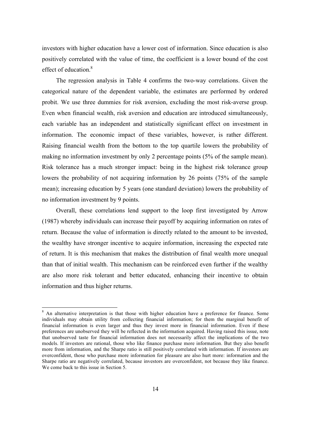investors with higher education have a lower cost of information. Since education is also positively correlated with the value of time, the coefficient is a lower bound of the cost effect of education  $8$ 

The regression analysis in Table 4 confirms the two-way correlations. Given the categorical nature of the dependent variable, the estimates are performed by ordered probit. We use three dummies for risk aversion, excluding the most risk-averse group. Even when financial wealth, risk aversion and education are introduced simultaneously, each variable has an independent and statistically significant effect on investment in information. The economic impact of these variables, however, is rather different. Raising financial wealth from the bottom to the top quartile lowers the probability of making no information investment by only 2 percentage points (5% of the sample mean). Risk tolerance has a much stronger impact: being in the highest risk tolerance group lowers the probability of not acquiring information by 26 points (75% of the sample mean); increasing education by 5 years (one standard deviation) lowers the probability of no information investment by 9 points.

Overall, these correlations lend support to the loop first investigated by Arrow (1987) whereby individuals can increase their payoff by acquiring information on rates of return. Because the value of information is directly related to the amount to be invested, the wealthy have stronger incentive to acquire information, increasing the expected rate of return. It is this mechanism that makes the distribution of final wealth more unequal than that of initial wealth. This mechanism can be reinforced even further if the wealthy are also more risk tolerant and better educated, enhancing their incentive to obtain information and thus higher returns.

<sup>&</sup>lt;sup>8</sup> An alternative interpretation is that those with higher education have a preference for finance. Some individuals may obtain utility from collecting financial information; for them the marginal benefit of financial information is even larger and thus they invest more in financial information. Even if these preferences are unobserved they will be reflected in the information acquired. Having raised this issue, note that unobserved taste for financial information does not necessarily affect the implications of the two models. If investors are rational, those who like finance purchase more information. But they also benefit more from information, and the Sharpe ratio is still positively correlated with information. If investors are overconfident, those who purchase more information for pleasure are also hurt more: information and the Sharpe ratio are negatively correlated, because investors are overconfident, not because they like finance. We come back to this issue in Section 5.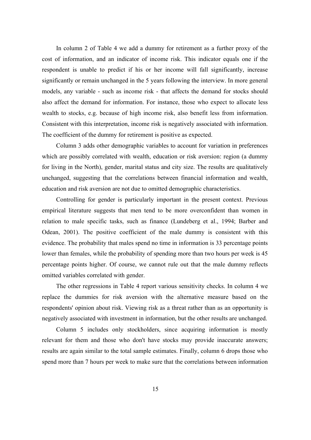In column 2 of Table 4 we add a dummy for retirement as a further proxy of the cost of information, and an indicator of income risk. This indicator equals one if the respondent is unable to predict if his or her income will fall significantly, increase significantly or remain unchanged in the 5 years following the interview. In more general models, any variable - such as income risk - that affects the demand for stocks should also affect the demand for information. For instance, those who expect to allocate less wealth to stocks, e.g. because of high income risk, also benefit less from information. Consistent with this interpretation, income risk is negatively associated with information. The coefficient of the dummy for retirement is positive as expected.

Column 3 adds other demographic variables to account for variation in preferences which are possibly correlated with wealth, education or risk aversion: region (a dummy for living in the North), gender, marital status and city size. The results are qualitatively unchanged, suggesting that the correlations between financial information and wealth, education and risk aversion are not due to omitted demographic characteristics.

Controlling for gender is particularly important in the present context. Previous empirical literature suggests that men tend to be more overconfident than women in relation to male specific tasks, such as finance (Lundeberg et al., 1994; Barber and Odean, 2001). The positive coefficient of the male dummy is consistent with this evidence. The probability that males spend no time in information is 33 percentage points lower than females, while the probability of spending more than two hours per week is 45 percentage points higher. Of course, we cannot rule out that the male dummy reflects omitted variables correlated with gender.

The other regressions in Table 4 report various sensitivity checks. In column 4 we replace the dummies for risk aversion with the alternative measure based on the respondents' opinion about risk. Viewing risk as a threat rather than as an opportunity is negatively associated with investment in information, but the other results are unchanged.

Column 5 includes only stockholders, since acquiring information is mostly relevant for them and those who don't have stocks may provide inaccurate answers; results are again similar to the total sample estimates. Finally, column 6 drops those who spend more than 7 hours per week to make sure that the correlations between information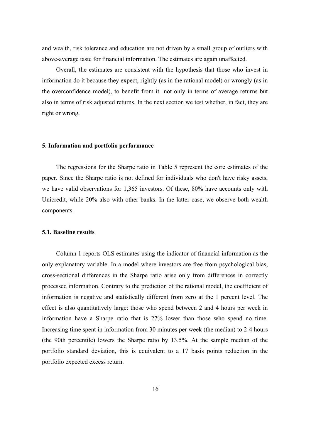and wealth, risk tolerance and education are not driven by a small group of outliers with above-average taste for financial information. The estimates are again unaffected.

Overall, the estimates are consistent with the hypothesis that those who invest in information do it because they expect, rightly (as in the rational model) or wrongly (as in the overconfidence model), to benefit from it not only in terms of average returns but also in terms of risk adjusted returns. In the next section we test whether, in fact, they are right or wrong.

## **5. Information and portfolio performance**

The regressions for the Sharpe ratio in Table 5 represent the core estimates of the paper. Since the Sharpe ratio is not defined for individuals who don't have risky assets, we have valid observations for 1,365 investors. Of these, 80% have accounts only with Unicredit, while 20% also with other banks. In the latter case, we observe both wealth components.

## **5.1. Baseline results**

Column 1 reports OLS estimates using the indicator of financial information as the only explanatory variable. In a model where investors are free from psychological bias, cross-sectional differences in the Sharpe ratio arise only from differences in correctly processed information. Contrary to the prediction of the rational model, the coefficient of information is negative and statistically different from zero at the 1 percent level. The effect is also quantitatively large: those who spend between 2 and 4 hours per week in information have a Sharpe ratio that is 27% lower than those who spend no time. Increasing time spent in information from 30 minutes per week (the median) to 2-4 hours (the 90th percentile) lowers the Sharpe ratio by 13.5%. At the sample median of the portfolio standard deviation, this is equivalent to a 17 basis points reduction in the portfolio expected excess return.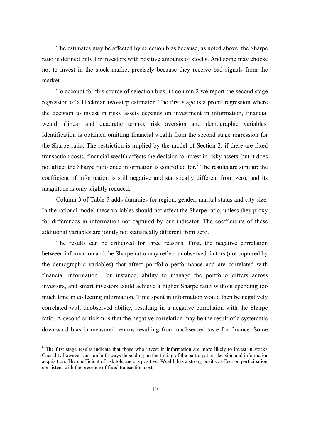The estimates may be affected by selection bias because, as noted above, the Sharpe ratio is defined only for investors with positive amounts of stocks. And some may choose not to invest in the stock market precisely because they receive bad signals from the market.

To account for this source of selection bias, in column 2 we report the second stage regression of a Heckman two-step estimator. The first stage is a probit regression where the decision to invest in risky assets depends on investment in information, financial wealth (linear and quadratic terms), risk aversion and demographic variables. Identification is obtained omitting financial wealth from the second stage regression for the Sharpe ratio. The restriction is implied by the model of Section 2: if there are fixed transaction costs, financial wealth affects the decision to invest in risky assets, but it does not affect the Sharpe ratio once information is controlled for.<sup>9</sup> The results are similar: the coefficient of information is still negative and statistically different from zero, and its magnitude is only slightly reduced.

Column 3 of Table 5 adds dummies for region, gender, marital status and city size. In the rational model these variables should not affect the Sharpe ratio, unless they proxy for differences in information not captured by our indicator. The coefficients of these additional variables are jointly not statistically different from zero.

The results can be criticized for three reasons. First, the negative correlation between information and the Sharpe ratio may reflect unobserved factors (not captured by the demographic variables) that affect portfolio performance and are correlated with financial information. For instance, ability to manage the portfolio differs across investors, and smart investors could achieve a higher Sharpe ratio without spending too much time in collecting information. Time spent in information would then be negatively correlated with unobserved ability, resulting in a negative correlation with the Sharpe ratio. A second criticism is that the negative correlation may be the result of a systematic downward bias in measured returns resulting from unobserved taste for finance. Some

<sup>&</sup>lt;sup>9</sup> The first stage results indicate that those who invest in information are more likely to invest in stocks. Causality however can run both ways depending on the timing of the participation decision and information acquisition. The coefficient of risk tolerance is positive. Wealth has a strong positive effect on participation, consistent with the presence of fixed transaction costs.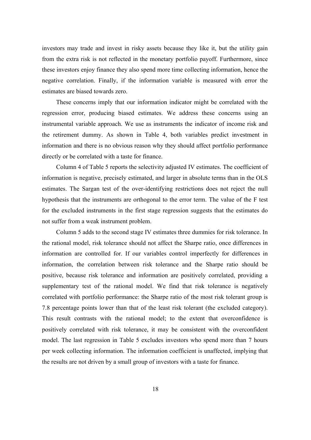investors may trade and invest in risky assets because they like it, but the utility gain from the extra risk is not reflected in the monetary portfolio payoff. Furthermore, since these investors enjoy finance they also spend more time collecting information, hence the negative correlation. Finally, if the information variable is measured with error the estimates are biased towards zero.

These concerns imply that our information indicator might be correlated with the regression error, producing biased estimates. We address these concerns using an instrumental variable approach. We use as instruments the indicator of income risk and the retirement dummy. As shown in Table 4, both variables predict investment in information and there is no obvious reason why they should affect portfolio performance directly or be correlated with a taste for finance.

Column 4 of Table 5 reports the selectivity adjusted IV estimates. The coefficient of information is negative, precisely estimated, and larger in absolute terms than in the OLS estimates. The Sargan test of the over-identifying restrictions does not reject the null hypothesis that the instruments are orthogonal to the error term. The value of the F test for the excluded instruments in the first stage regression suggests that the estimates do not suffer from a weak instrument problem.

Column 5 adds to the second stage IV estimates three dummies for risk tolerance. In the rational model, risk tolerance should not affect the Sharpe ratio, once differences in information are controlled for. If our variables control imperfectly for differences in information, the correlation between risk tolerance and the Sharpe ratio should be positive, because risk tolerance and information are positively correlated, providing a supplementary test of the rational model. We find that risk tolerance is negatively correlated with portfolio performance: the Sharpe ratio of the most risk tolerant group is 7.8 percentage points lower than that of the least risk tolerant (the excluded category). This result contrasts with the rational model; to the extent that overconfidence is positively correlated with risk tolerance, it may be consistent with the overconfident model. The last regression in Table 5 excludes investors who spend more than 7 hours per week collecting information. The information coefficient is unaffected, implying that the results are not driven by a small group of investors with a taste for finance.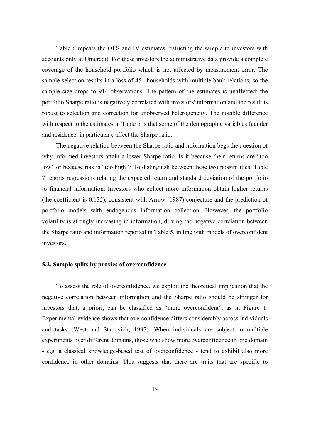Table 6 repeats the OLS and IV estimates restricting the sample to investors with accounts only at Unicredit. For these investors the administrative data provide a complete coverage of the household portfolio which is not affected by measurement error. The sample selection results in a loss of 451 households with multiple bank relations, so the sample size drops to 914 observations. The pattern of the estimates is unaffected: the portfolio Sharpe ratio is negatively correlated with investors' information and the result is robust to selection and correction for unobserved heterogeneity. The notable difference with respect to the estimates in Table 5 is that some of the demographic variables (gender and residence, in particular), affect the Sharpe ratio.

The negative relation between the Sharpe ratio and information begs the question of why informed investors attain a lower Sharpe ratio. Is it because their returns are "too low" or because risk is "too high"? To distinguish between these two possibilities, Table 7 reports regressions relating the expected return and standard deviation of the portfolio to financial information. Investors who collect more information obtain higher returns (the coefficient is 0.135), consistent with Arrow (1987) conjecture and the prediction of portfolio models with endogenous information collection. However, the portfolio volatility is strongly increasing in information, driving the negative correlation between the Sharpe ratio and information reported in Table 5, in line with models of overconfident investors.

## **5.2. Sample splits by proxies of overconfidence**

To assess the role of overconfidence, we exploit the theoretical implication that the negative correlation between information and the Sharpe ratio should be stronger for investors that, a priori, can be classified as "more overconfident", as in Figure 1. Experimental evidence shows that overconfidence differs considerably across individuals and tasks (West and Stanovich, 1997). When individuals are subject to multiple experiments over different domains, those who show more overconfidence in one domain - e.g. a classical knowledge-based test of overconfidence - tend to exhibit also more confidence in other domains. This suggests that there are traits that are specific to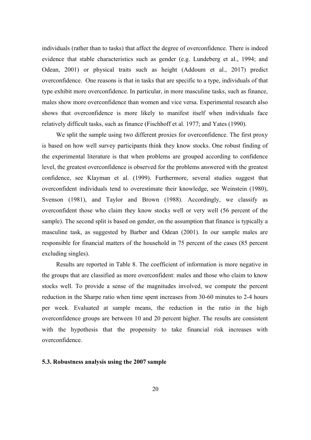individuals (rather than to tasks) that affect the degree of overconfidence. There is indeed evidence that stable characteristics such as gender (e.g. Lundeberg et al., 1994; and Odean, 2001) or physical traits such as height (Addoum et al., 2017) predict overconfidence. One reasons is that in tasks that are specific to a type, individuals of that type exhibit more overconfidence. In particular, in more masculine tasks, such as finance, males show more overconfidence than women and vice versa. Experimental research also shows that overconfidence is more likely to manifest itself when individuals face relatively difficult tasks, such as finance (Fischhoff et al. 1977; and Yates (1990).

We split the sample using two different proxies for overconfidence. The first proxy is based on how well survey participants think they know stocks. One robust finding of the experimental literature is that when problems are grouped according to confidence level, the greatest overconfidence is observed for the problems answered with the greatest confidence, see Klayman et al. (1999). Furthermore, several studies suggest that overconfident individuals tend to overestimate their knowledge, see Weinstein (1980), Svenson (1981), and Taylor and Brown (1988). Accordingly, we classify as overconfident those who claim they know stocks well or very well (56 percent of the sample). The second split is based on gender, on the assumption that finance is typically a masculine task, as suggested by Barber and Odean (2001). In our sample males are responsible for financial matters of the household in 75 percent of the cases (85 percent excluding singles).

Results are reported in Table 8. The coefficient of information is more negative in the groups that are classified as more overconfident: males and those who claim to know stocks well. To provide a sense of the magnitudes involved, we compute the percent reduction in the Sharpe ratio when time spent increases from 30-60 minutes to 2-4 hours per week. Evaluated at sample means, the reduction in the ratio in the high overconfidence groups are between 10 and 20 percent higher. The results are consistent with the hypothesis that the propensity to take financial risk increases with overconfidence.

## **5.3. Robustness analysis using the 2007 sample**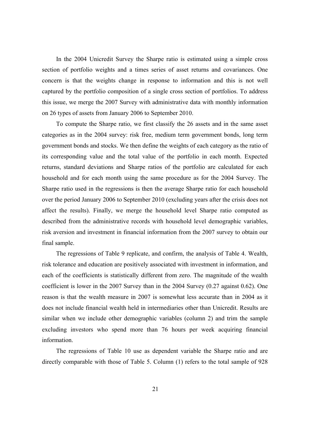In the 2004 Unicredit Survey the Sharpe ratio is estimated using a simple cross section of portfolio weights and a times series of asset returns and covariances. One concern is that the weights change in response to information and this is not well captured by the portfolio composition of a single cross section of portfolios. To address this issue, we merge the 2007 Survey with administrative data with monthly information on 26 types of assets from January 2006 to September 2010.

To compute the Sharpe ratio, we first classify the 26 assets and in the same asset categories as in the 2004 survey: risk free, medium term government bonds, long term government bonds and stocks. We then define the weights of each category as the ratio of its corresponding value and the total value of the portfolio in each month. Expected returns, standard deviations and Sharpe ratios of the portfolio are calculated for each household and for each month using the same procedure as for the 2004 Survey. The Sharpe ratio used in the regressions is then the average Sharpe ratio for each household over the period January 2006 to September 2010 (excluding years after the crisis does not affect the results). Finally, we merge the household level Sharpe ratio computed as described from the administrative records with household level demographic variables, risk aversion and investment in financial information from the 2007 survey to obtain our final sample.

The regressions of Table 9 replicate, and confirm, the analysis of Table 4. Wealth, risk tolerance and education are positively associated with investment in information, and each of the coefficients is statistically different from zero. The magnitude of the wealth coefficient is lower in the 2007 Survey than in the 2004 Survey (0.27 against 0.62). One reason is that the wealth measure in 2007 is somewhat less accurate than in 2004 as it does not include financial wealth held in intermediaries other than Unicredit. Results are similar when we include other demographic variables (column 2) and trim the sample excluding investors who spend more than 76 hours per week acquiring financial information.

The regressions of Table 10 use as dependent variable the Sharpe ratio and are directly comparable with those of Table 5. Column (1) refers to the total sample of 928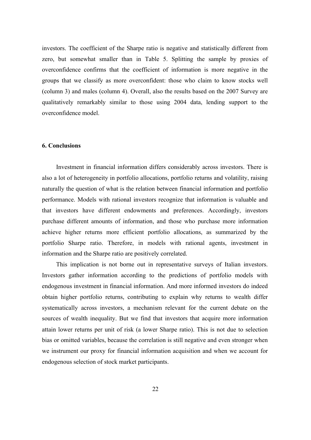investors. The coefficient of the Sharpe ratio is negative and statistically different from zero, but somewhat smaller than in Table 5. Splitting the sample by proxies of overconfidence confirms that the coefficient of information is more negative in the groups that we classify as more overconfident: those who claim to know stocks well (column 3) and males (column 4). Overall, also the results based on the 2007 Survey are qualitatively remarkably similar to those using 2004 data, lending support to the overconfidence model.

## **6. Conclusions**

Investment in financial information differs considerably across investors. There is also a lot of heterogeneity in portfolio allocations, portfolio returns and volatility, raising naturally the question of what is the relation between financial information and portfolio performance. Models with rational investors recognize that information is valuable and that investors have different endowments and preferences. Accordingly, investors purchase different amounts of information, and those who purchase more information achieve higher returns more efficient portfolio allocations, as summarized by the portfolio Sharpe ratio. Therefore, in models with rational agents, investment in information and the Sharpe ratio are positively correlated.

This implication is not borne out in representative surveys of Italian investors. Investors gather information according to the predictions of portfolio models with endogenous investment in financial information. And more informed investors do indeed obtain higher portfolio returns, contributing to explain why returns to wealth differ systematically across investors, a mechanism relevant for the current debate on the sources of wealth inequality. But we find that investors that acquire more information attain lower returns per unit of risk (a lower Sharpe ratio). This is not due to selection bias or omitted variables, because the correlation is still negative and even stronger when we instrument our proxy for financial information acquisition and when we account for endogenous selection of stock market participants.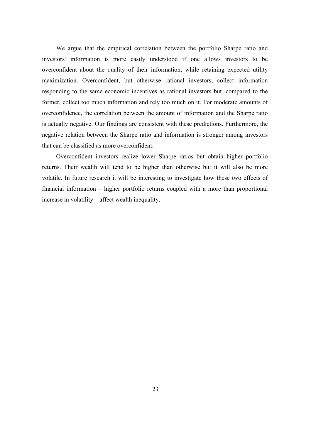We argue that the empirical correlation between the portfolio Sharpe ratio and investors' information is more easily understood if one allows investors to be overconfident about the quality of their information, while retaining expected utility maximization. Overconfident, but otherwise rational investors, collect information responding to the same economic incentives as rational investors but, compared to the former, collect too much information and rely too much on it. For moderate amounts of overconfidence, the correlation between the amount of information and the Sharpe ratio is actually negative. Our findings are consistent with these predictions. Furthermore, the negative relation between the Sharpe ratio and information is stronger among investors that can be classified as more overconfident.

Overconfident investors realize lower Sharpe ratios but obtain higher portfolio returns. Their wealth will tend to be higher than otherwise but it will also be more volatile. In future research it will be interesting to investigate how these two effects of financial information – higher portfolio returns coupled with a more than proportional increase in volatility – affect wealth inequality.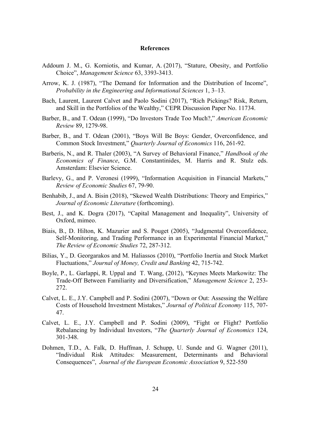## **References**

- Addoum J. M., G. Korniotis, and Kumar, A. (2017), "Stature, Obesity, and Portfolio Choice", *Management Science* 63, 3393-3413.
- Arrow, K. J. (1987), "The Demand for Information and the Distribution of Income", *Probability in the Engineering and Informational Sciences* 1, 3–13.
- Bach, Laurent, Laurent Calvet and Paolo Sodini (2017), "Rich Pickings? Risk, Return, and Skill in the Portfolios of the Wealthy," CEPR Discussion Paper No. 11734.
- Barber, B., and T. Odean (1999), "Do Investors Trade Too Much?," *American Economic Review* 89, 1279-98.
- Barber, B., and T. Odean (2001), "Boys Will Be Boys: Gender, Overconfidence, and Common Stock Investment," *Quarterly Journal of Economics* 116, 261-92.
- Barberis, N., and R. Thaler (2003), "A Survey of Behavioral Finance," *Handbook of the Economics of Finance*, G.M. Constantinides, M. Harris and R. Stulz eds. Amsterdam: Elsevier Science.
- Barlevy, G., and P. Veronesi (1999), "Information Acquisition in Financial Markets," *Review of Economic Studies* 67, 79-90.
- Benhabib, J., and A. Bisin (2018), "Skewed Wealth Distributions: Theory and Empirics," *Journal of Economic Literature* (forthcoming).
- Best, J., and K. Dogra (2017), "Capital Management and Inequality", University of Oxford, mimeo.
- Biais, B., D. Hilton, K. Mazurier and S. Pouget (2005), "Judgmental Overconfidence, Self-Monitoring, and Trading Performance in an Experimental Financial Market," *The Review of Economic Studies* 72, 287-312.
- Bilias, Y., D. Georgarakos and M. Haliassos (2010), "Portfolio Inertia and Stock Market Fluctuations," *Journal of Money, Credit and Banking* 42, 715-742.
- Boyle, P., L. Garlappi, R. Uppal and T. Wang, (2012), "Keynes Meets Markowitz: The Trade-Off Between Familiarity and Diversification," *Management Science* 2, 253- 272.
- Calvet, L. E., J.Y. Campbell and P. Sodini (2007), "Down or Out: Assessing the Welfare Costs of Household Investment Mistakes," *Journal of Political Economy* 115, 707- 47.
- Calvet, L. E., J.Y. Campbell and P. Sodini (2009), "Fight or Flight? Portfolio Rebalancing by Individual Investors, "*The Quarterly Journal of Economics* 124, 301-348.
- Dohmen, T.D., A. Falk, D. Huffman, J. Schupp, U. Sunde and G. Wagner (2011), "Individual Risk Attitudes: Measurement, Determinants and Behavioral Consequences", *Journal of the European Economic Association* 9, 522-550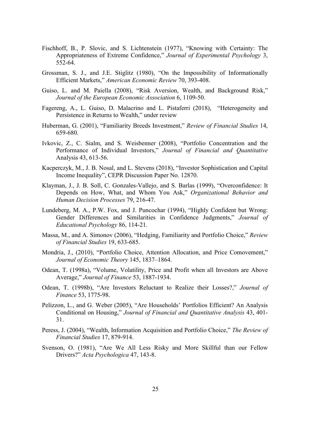- Fischhoff, B., P. Slovic, and S. Lichtenstein (1977), "Knowing with Certainty: The Appropriateness of Extreme Confidence," *Journal of Experimental Psychology* 3, 552-64.
- Grossman, S. J., and J.E. Stiglitz (1980), "On the Impossibility of Informationally Efficient Markets," *American Economic Review* 70, 393-408.
- Guiso, L. and M. Paiella (2008), "Risk Aversion, Wealth, and Background Risk," *Journal of the European Economic Association* 6, 1109-50.
- Fagereng, A., L. Guiso, D. Malacrino and L. Pistaferri (2018), "Heterogeneity and Persistence in Returns to Wealth," under review
- Huberman, G. (2001), "Familiarity Breeds Investment," *Review of Financial Studies* 14, 659-680.
- Ivkovic, Z., C. Sialm, and S. Weisbenner (2008), "Portfolio Concentration and the Performance of Individual Investors," *Journal of Financial and Quantitative*  Analysis 43, 613-56.
- Kacperczyk, M., J. B. Nosal, and L. Stevens (2018), "Investor Sophistication and Capital Income Inequality", CEPR Discussion Paper No. 12870.
- Klayman, J., J. B. Soll, C. Gonzales-Vallejo, and S. Barlas (1999), "Overconfidence: It Depends on How, What, and Whom You Ask," *Organizational Behavior and Human Decision Processes* 79, 216-47.
- Lundeberg, M. A., P.W. Fox, and J. Puncochar (1994), "Highly Confident but Wrong: Gender Differences and Similarities in Confidence Judgments," *Journal of Educational Psychology* 86, 114-21.
- Massa, M., and A. Simonov (2006), "Hedging, Familiarity and Portfolio Choice," *Review of Financial Studies* 19, 633-685.
- Mondria, J., (2010), "Portfolio Choice, Attention Allocation, and Price Comovement," *Journal of Economic Theory* 145, 1837–1864.
- Odean, T. (1998a), "Volume, Volatility, Price and Profit when all Investors are Above Average," *Journal of Finance* 53, 1887-1934.
- Odean, T. (1998b), "Are Investors Reluctant to Realize their Losses?," *Journal of Finance* 53, 1775-98.
- Pelizzon, L., and G. Weber (2005), "Are Households' Portfolios Efficient? An Analysis Conditional on Housing," *Journal of Financial and Quantitative Analysis* 43, 401- 31.
- Peress, J. (2004), "Wealth, Information Acquisition and Portfolio Choice," *The Review of Financial Studies* 17, 879-914.
- Svenson, O. (1981), "Are We All Less Risky and More Skillful than our Fellow Drivers?" *Acta Psychologica* 47, 143-8.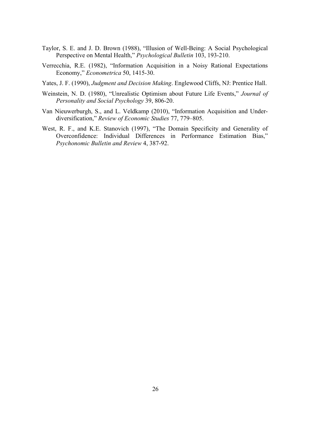- Taylor, S. E. and J. D. Brown (1988), "Illusion of Well-Being: A Social Psychological Perspective on Mental Health," *Psychological Bulletin* 103, 193-210.
- Verrecchia, R.E. (1982), "Information Acquisition in a Noisy Rational Expectations Economy," *Econometrica* 50, 1415-30.
- Yates, J. F. (1990), *Judgment and Decision Making*. Englewood Cliffs, NJ: Prentice Hall.
- Weinstein, N. D. (1980), "Unrealistic Optimism about Future Life Events," *Journal of Personality and Social Psychology* 39, 806-20.
- Van Nieuwerburgh, S., and L. Veldkamp (2010), "Information Acquisition and Underdiversification," *Review of Economic Studies* 77, 779–805.
- West, R. F., and K.E. Stanovich (1997), "The Domain Specificity and Generality of Overconfidence: Individual Differences in Performance Estimation Bias," *Psychonomic Bulletin and Review* 4, 387-92.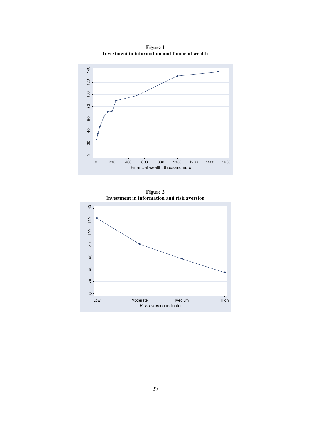

**Figure 1 Investment in information and financial wealth**

**Figure 2 Investment in information and risk aversion**

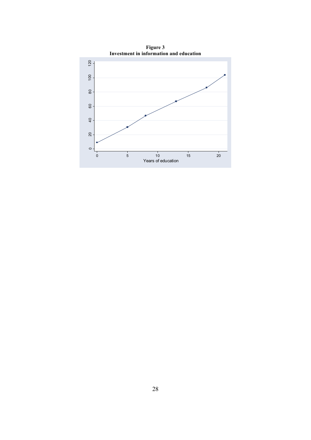

**Figure 3**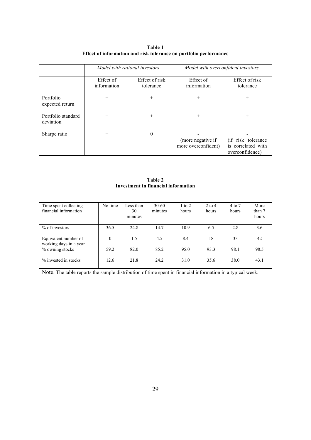|                                 | Model with rational investors |                             | Model with overconfident investors       |                                                              |  |
|---------------------------------|-------------------------------|-----------------------------|------------------------------------------|--------------------------------------------------------------|--|
|                                 | Effect of<br>information      | Effect of risk<br>tolerance | Effect of<br>information                 | Effect of risk<br>tolerance                                  |  |
| Portfolio<br>expected return    | $^{+}$                        | $^{+}$                      | $+$                                      | $^{+}$                                                       |  |
| Portfolio standard<br>deviation | $^{+}$                        | $^{+}$                      | $^{+}$                                   | $^{+}$                                                       |  |
| Sharpe ratio                    | $^{+}$                        | $\theta$                    | (more negative if<br>more overconfident) | (if risk tolerance)<br>is correlated with<br>overconfidence) |  |

| Table 1                                                           |
|-------------------------------------------------------------------|
| Effect of information and risk tolerance on portfolio performance |

**Table 2 Investment in financial information**

| Time spent collecting<br>financial information | No time      | Less than<br>30<br>minutes | $30-60$<br>minutes | $1$ to $2$<br>hours | $2$ to $4$<br>hours | 4 to 7<br>hours | More<br>than 7<br>hours |
|------------------------------------------------|--------------|----------------------------|--------------------|---------------------|---------------------|-----------------|-------------------------|
| $%$ of investors                               | 36.5         | 24.8                       | 14.7               | 10.9                | 6.5                 | 2.8             | 3.6                     |
| Equivalent number of<br>working days in a year | $\mathbf{0}$ | 1.5                        | 4.5                | 8.4                 | 18                  | 33              | 42                      |
| % owning stocks                                | 59.2         | 82.0                       | 85.2               | 95.0                | 93.3                | 98.1            | 98.5                    |
| % invested in stocks                           | 12.6         | 21.8                       | 24.2               | 31.0                | 35.6                | 38.0            | 43.1                    |

Note. The table reports the sample distribution of time spent in financial information in a typical week.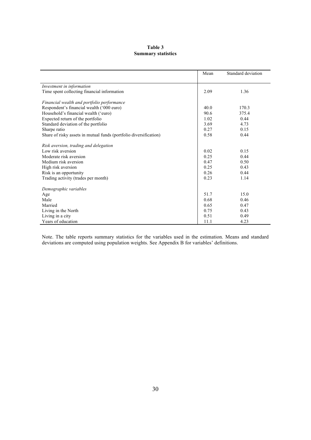## **Table 3 Summary statistics**

|                                                                   | Mean | Standard deviation |
|-------------------------------------------------------------------|------|--------------------|
| Investment in information                                         |      |                    |
| Time spent collecting financial information                       | 2.09 | 1.36               |
| Financial wealth and portfolio performance                        |      |                    |
| Respondent's financial wealth ('000 euro)                         | 40.0 | 170.3              |
| Household's financial wealth ('euro)                              | 90.6 | 375.4              |
| Expected return of the portfolio                                  | 1.02 | 0.44               |
| Standard deviation of the portfolio                               | 3.69 | 4.73               |
| Sharpe ratio                                                      | 0.27 | 0.15               |
| Share of risky assets in mutual funds (portfolio diversification) | 0.58 | 0.44               |
| Risk aversion, trading and delegation                             |      |                    |
| Low risk aversion                                                 | 0.02 | 0.15               |
| Moderate risk aversion                                            | 0.25 | 0.44               |
| Medium risk aversion                                              | 0.47 | 0.50               |
| High risk aversion                                                | 0.25 | 0.43               |
| Risk is an opportunity                                            | 0.26 | 0.44               |
| Trading activity (trades per month)                               | 0.23 | 1.14               |
| Demographic variables                                             |      |                    |
| Age                                                               | 51.7 | 15.0               |
| Male                                                              | 0.68 | 0.46               |
| Married                                                           | 0.65 | 0.47               |
| Living in the North                                               | 0.75 | 0.43               |
| Living in a city                                                  | 0.51 | 0.49               |
| Years of education                                                | 11.1 | 4.23               |

Note. The table reports summary statistics for the variables used in the estimation. Means and standard deviations are computed using population weights. See Appendix B for variables' definitions.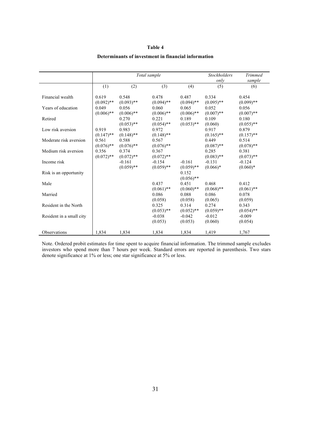#### **Table 4**

#### *Total sample Stockholders only Trimmed sample* (1) (2) (3) (4) (5) (6) Financial wealth  $\begin{array}{cccc} 0.619 & 0.548 & 0.478 & 0.487 & 0.334 & 0.454 \end{array}$  $(0.092)$ <sup>\*\*</sup>  $(0.093)$ <sup>\*\*</sup>  $(0.094)$ <sup>\*\*</sup>  $(0.094)$ <sup>\*\*</sup>  $(0.095)$ <sup>\*\*</sup>  $(0.099)$ <sup>\*\*</sup> Years of education  $(0.049 \t 0.056 \t 0.060 \t 0.065 \t 0.052 \t 0.056$  $(0.006)$ <sup>\*\*</sup>  $(0.006)$ <sup>\*\*</sup>  $(0.006)$ <sup>\*\*</sup>  $(0.006)$ <sup>\*\*</sup>  $(0.007)$ <sup>\*\*</sup>  $(0.007)$ <sup>\*\*</sup> Retired 0.270 0.221 0.189 0.109 0.180  $(0.053)$ <sup>\*\*</sup>  $(0.054)$ <sup>\*\*</sup>  $(0.053)$ <sup>\*\*</sup>  $(0.060)$   $(0.055)$ <sup>\*\*</sup><br>0.983 0.972 0.917 0.879 Low risk aversion  $(0.147)** \t(0.148)** \t(0.148)** \t(0.148)** \t(0.165)** \t(0.157)**$  $(0.165)$ \*\* Moderate risk aversion  $\begin{array}{|l} 0.561 & 0.588 \ 0.076)** & (0.076)** & (0.076)** & (0.087)** \end{array}$   $(0.087)**$  0.514  $(0.076)^{**}$   $(0.076)^{**}$   $(0.076)^{**}$   $(0.087)^{**}$ <br>  $0.356$   $0.374$   $0.367$   $0.285$ Medium risk aversion  $\begin{array}{|l} 0.356 & 0.374 \end{array}$  0.367 0.285 0.285 0.381  $(0.072)$ <sup>\*\*</sup>  $(0.072)$ <sup>\*\*</sup>  $(0.072)$ <sup>\*\*</sup>  $(0.083)$ <sup>\*\*</sup>  $(0.073)$ <sup>\*\*</sup> Income risk  $-0.161$   $-0.154$   $-0.161$   $-0.131$   $-0.124$  $(0.059)$ <sup>\*\*</sup>  $(0.059)$ <sup>\*\*</sup>  $(0.059)$ <sup>\*\*</sup>  $(0.066)$ <sup>\*</sup>  $(0.060)$ <sup>\*</sup> Risk is an opportunity 0.152  $(0.056)$ \*\* Male 0.437 0.451 0.468 0.412  $(0.061)$ \*\*  $(0.060)$ \*\*  $(0.068)$ \*\*  $(0.061)$ \*\* Married 0.086 0.088 0.086 0.078  $(0.058)$   $(0.058)$   $(0.065)$   $(0.059)$ Resident in the North 0.325 0.314 0.274 0.343  $(0.053)$ \*\*  $(0.052)$ \*\*  $(0.059)$ \*\*  $(0.054)$ \*\* Resident in a small city  $-0.038$   $-0.042$   $-0.012$   $-0.009$  $(0.053)$   $(0.053)$   $(0.060)$   $(0.054)$ Observations 1,834 1,834 1,834 1,834 1,419 1,767

#### **Determinants of investment in financial information**

Note. Ordered probit estimates for time spent to acquire financial information. The trimmed sample excludes investors who spend more than 7 hours per week. Standard errors are reported in parenthesis. Two stars denote significance at 1% or less; one star significance at 5% or less.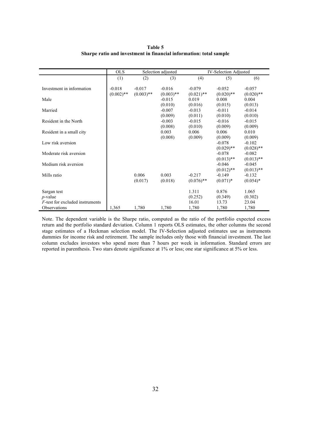**Table 5 Sharpe ratio and investment in financial information: total sample**

|                                                                                      | <b>OLS</b>               |                          | Selection adjusted          |                                    | <b>IV-Selection Adjusted</b>       |                                    |
|--------------------------------------------------------------------------------------|--------------------------|--------------------------|-----------------------------|------------------------------------|------------------------------------|------------------------------------|
|                                                                                      | (1)                      | (2)                      | (3)                         | (4)                                | (5)                                | (6)                                |
| Investment in information                                                            | $-0.018$<br>$(0.002)$ ** | $-0.017$<br>$(0.003)$ ** | $-0.016$<br>$(0.003)$ **    | $-0.079$<br>$(0.021)$ **           | $-0.052$<br>$(0.020)$ **           | $-0.057$<br>$(0.020)$ **           |
| Male                                                                                 |                          |                          | $-0.015$                    | 0.019                              | 0.008                              | 0.004                              |
|                                                                                      |                          |                          | (0.010)                     | (0.016)                            | (0.015)                            | (0.013)                            |
| Married                                                                              |                          |                          | $-0.007$                    | $-0.013$                           | $-0.011$                           | $-0.014$                           |
|                                                                                      |                          |                          | (0.009)                     | (0.011)                            | (0.010)                            | (0.010)                            |
| Resident in the North                                                                |                          |                          | $-0.003$                    | $-0.015$                           | $-0.016$                           | $-0.015$                           |
| Resident in a small city                                                             |                          |                          | (0.008)<br>0.003<br>(0.008) | (0.010)<br>0.006<br>(0.009)        | (0.009)<br>0.006<br>(0.009)        | (0.009)<br>0.010<br>(0.009)        |
| Low risk aversion                                                                    |                          |                          |                             |                                    | $-0.078$<br>$(0.029)$ **           | $-0.102$<br>$(0.028)$ **           |
| Moderate risk aversion                                                               |                          |                          |                             |                                    | $-0.078$<br>$(0.013)$ **           | $-0.082$<br>$(0.013)$ **           |
| Medium risk aversion                                                                 |                          |                          |                             |                                    | $-0.046$<br>$(0.012)$ **           | $-0.045$<br>$(0.013)$ **           |
| Mills ratio                                                                          |                          | 0.006<br>(0.017)         | 0.003<br>(0.018)            | $-0.217$<br>$(0.076)$ **           | $-0.149$<br>$(0.071)^*$            | $-0.132$<br>$(0.054)$ *            |
| Sargan test<br>$p$ -value<br><i>F</i> -test for excluded instruments<br>Observations | 1,365                    | 1,780                    | 1,780                       | 1.311<br>(0.252)<br>16.01<br>1,780 | 0.876<br>(0.349)<br>13.73<br>1,780 | 1.065<br>(0.302)<br>23.04<br>1,780 |

Note. The dependent variable is the Sharpe ratio, computed as the ratio of the portfolio expected excess return and the portfolio standard deviation. Column 1 reports OLS estimates, the other columns the second stage estimates of a Heckman selection model. The IV-Selection adjusted estimates use as instruments dummies for income risk and retirement. The sample includes only those with financial investment. The last column excludes investors who spend more than 7 hours per week in information. Standard errors are reported in parenthesis. Two stars denote significance at 1% or less; one star significance at 5% or less.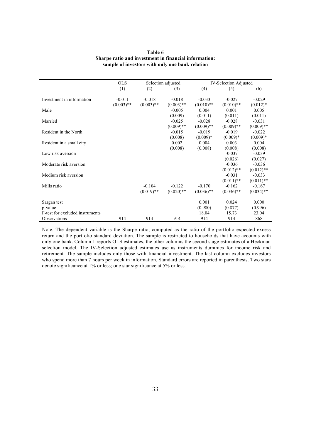| Table 6                                               |
|-------------------------------------------------------|
| Sharpe ratio and investment in financial information: |
| sample of investors with only one bank relation       |

|                                 | <b>OLS</b>   |              | Selection adjusted |              | <b>IV-Selection Adjusted</b> |              |
|---------------------------------|--------------|--------------|--------------------|--------------|------------------------------|--------------|
|                                 | (1)          | (2)          | (3)                | (4)          | (5)                          | (6)          |
|                                 |              |              |                    |              |                              |              |
| Investment in information       | $-0.011$     | $-0.018$     | $-0.018$           | $-0.033$     | $-0.027$                     | $-0.029$     |
|                                 | $(0.003)$ ** | $(0.003)$ ** | $(0.003)$ **       | $(0.010)$ ** | $(0.010)$ **                 | $(0.012)*$   |
| Male                            |              |              | $-0.005$           | 0.004        | 0.001                        | 0.005        |
|                                 |              |              | (0.009)            | (0.011)      | (0.011)                      | (0.011)      |
| Married                         |              |              | $-0.025$           | $-0.028$     | $-0.028$                     | $-0.031$     |
|                                 |              |              | $(0.009)$ **       | $(0.009)$ ** | $(0.009)$ **                 | $(0.009)$ ** |
| Resident in the North           |              |              | $-0.015$           | $-0.019$     | $-0.019$                     | $-0.022$     |
|                                 |              |              | (0.008)            | $(0.009)*$   | $(0.009)*$                   | $(0.009)*$   |
| Resident in a small city        |              |              | 0.002              | 0.004        | 0.003                        | 0.004        |
|                                 |              |              | (0.008)            | (0.008)      | (0.008)                      | (0.008)      |
| Low risk aversion               |              |              |                    |              | $-0.037$                     | $-0.039$     |
|                                 |              |              |                    |              | (0.026)                      | (0.027)      |
| Moderate risk aversion          |              |              |                    |              | $-0.036$                     | $-0.036$     |
|                                 |              |              |                    |              | $(0.012)$ **                 | $(0.012)$ ** |
| Medium risk aversion            |              |              |                    |              | $-0.031$                     | $-0.033$     |
|                                 |              |              |                    |              | $(0.011)$ **                 | $(0.011)$ ** |
| Mills ratio                     |              | $-0.104$     | $-0.122$           | $-0.170$     | $-0.162$                     | $-0.167$     |
|                                 |              | $(0.019)$ ** | $(0.020)$ **       | $(0.036)$ ** | $(0.036)$ **                 | $(0.034)$ ** |
|                                 |              |              |                    |              |                              |              |
| Sargan test                     |              |              |                    | 0.001        | 0.024                        | 0.000        |
| p-value                         |              |              |                    | (0.980)      | (0.877)                      | (0.996)      |
| F-test for excluded instruments |              |              |                    | 18.04        | 15.73                        | 23.04        |
| Observations                    | 914          | 914          | 914                | 914          | 914                          | 868          |

Note. The dependent variable is the Sharpe ratio, computed as the ratio of the portfolio expected excess return and the portfolio standard deviation. The sample is restricted to households that have accounts with only one bank. Column 1 reports OLS estimates, the other columns the second stage estimates of a Heckman selection model. The IV-Selection adjusted estimates use as instruments dummies for income risk and retirement. The sample includes only those with financial investment. The last column excludes investors who spend more than 7 hours per week in information. Standard errors are reported in parenthesis. Two stars denote significance at 1% or less; one star significance at 5% or less.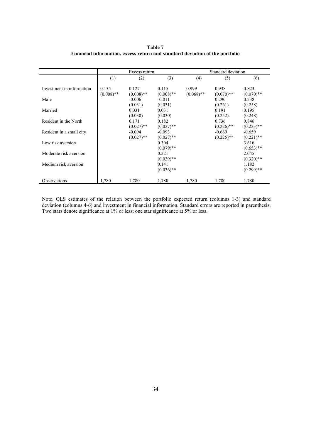|                           |                       | Excess return               |                             |                       | Standard deviation          |                             |  |  |
|---------------------------|-----------------------|-----------------------------|-----------------------------|-----------------------|-----------------------------|-----------------------------|--|--|
|                           | (1)                   | (2)                         | (3)                         | (4)                   | (5)                         | (6)                         |  |  |
| Investment in information | 0.135<br>$(0.008)$ ** | 0.127<br>$(0.008)$ **       | 0.115<br>$(0.008)$ **       | 0.999<br>$(0.068)$ ** | 0.938<br>$(0.070)$ **       | 0.823<br>$(0.070)**$        |  |  |
| Male                      |                       | $-0.006$                    | $-0.011$                    |                       | 0.290                       | 0.238                       |  |  |
| Married                   |                       | (0.031)<br>0.031<br>(0.030) | (0.031)<br>0.031<br>(0.030) |                       | (0.261)<br>0.191<br>(0.252) | (0.258)<br>0.195<br>(0.248) |  |  |
| Resident in the North     |                       | 0.171<br>$(0.027)$ **       | 0.182<br>$(0.027)$ **       |                       | 0.736<br>$(0.226)$ **       | 0.846<br>$(0.223)$ **       |  |  |
| Resident in a small city  |                       | $-0.094$<br>$(0.027)$ **    | $-0.093$<br>$(0.027)$ **    |                       | $-0.669$<br>$(0.225)$ **    | $-0.659$<br>$(0.221)$ **    |  |  |
| Low risk aversion         |                       |                             | 0.304<br>$(0.079)$ **       |                       |                             | 3.616<br>$(0.653)$ **       |  |  |
| Moderate risk aversion    |                       |                             | 0.221<br>$(0.039)$ **       |                       |                             | 2.045<br>$(0.320)$ **       |  |  |
| Medium risk aversion      |                       |                             | 0.141<br>$(0.036)$ **       |                       |                             | 1.182<br>$(0.299)$ **       |  |  |
| Observations              | 1,780                 | 1,780                       | 1,780                       | 1,780                 | 1,780                       | 1,780                       |  |  |

**Table 7 Financial information, excess return and standard deviation of the portfolio**

Note. OLS estimates of the relation between the portfolio expected return (columns 1-3) and standard deviation (columns 4-6) and investment in financial information. Standard errors are reported in parenthesis. Two stars denote significance at 1% or less; one star significance at 5% or less.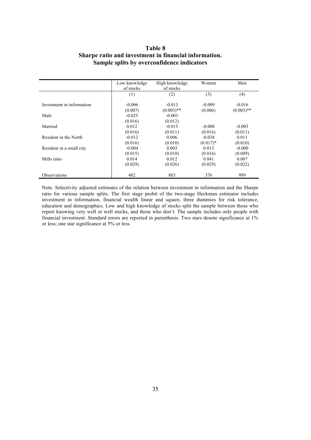## **Table 8 Sharpe ratio and investment in financial information. Sample splits by overconfidence indicators**

|                           | Low knowledge | High knowledge | Women      | Men          |
|---------------------------|---------------|----------------|------------|--------------|
|                           | of stocks     | of stocks      |            |              |
|                           | (1)           | (2)            | (3)        | (4)          |
| Investment in information | $-0.006$      | $-0.013$       | $-0.009$   | $-0.016$     |
|                           | (0.007)       | $(0.003)$ **   | (0.006)    | $(0.003)$ ** |
| Male                      | $-0.025$      | $-0.003$       |            |              |
|                           | (0.016)       | (0.012)        |            |              |
| Married                   | 0.012         | $-0.015$       | $-0.008$   | $-0.003$     |
|                           | (0.016)       | (0.011)        | (0.016)    | (0.011)      |
| Resident in the North     | $-0.012$      | 0.006          | $-0.038$   | 0.011        |
|                           | (0.016)       | (0.010)        | $(0.017)*$ | (0.010)      |
| Resident in a small city  | $-0.004$      | 0.003          | 0.013      | $-0.000$     |
|                           | (0.015)       | (0.010)        | (0.016)    | (0.009)      |
| Mills ratio               | 0.014         | 0.012          | 0.041      | 0.007        |
|                           | (0.029)       | (0.026)        | (0.029)    | (0.022)      |
| <b>Observations</b>       | 482           | 883            | 376        | 989          |

Note. Selectivity adjusted estimates of the relation between investment in information and the Sharpe ratio for various sample splits. The first stage probit of the two-stage Heckman estimator includes investment in information, financial wealth linear and square, three dummies for risk tolerance, education and demographics. Low and high knowledge of stocks split the sample between those who report knowing very well or well stocks, and those who don't. The sample includes only people with financial investment. Standard errors are reported in parenthesis. Two stars denote significance at 1% or less; one star significance at 5% or less.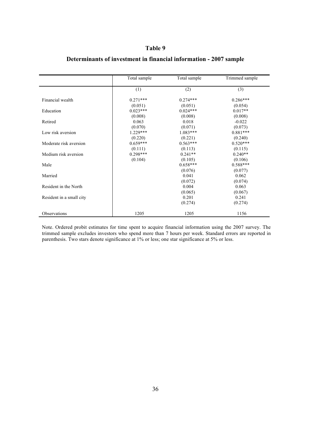## **Table 9**

|                          | Total sample | Total sample | Trimmed sample |
|--------------------------|--------------|--------------|----------------|
|                          | (1)          | (2)          | (3)            |
| Financial wealth         | $0.271***$   | $0.274***$   | $0.286***$     |
|                          | (0.051)      | (0.051)      | (0.054)        |
| Education                | $0.023***$   | $0.024***$   | $0.017**$      |
|                          | (0.008)      | (0.008)      | (0.008)        |
| Retired                  | 0.063        | 0.018        | $-0.022$       |
|                          | (0.070)      | (0.071)      | (0.073)        |
| Low risk aversion        | $1.229***$   | $1.083***$   | $0.881***$     |
|                          | (0.220)      | (0.221)      | (0.240)        |
| Moderate risk aversion   | $0.659***$   | $0.563***$   | $0.520***$     |
|                          | (0.111)      | (0.113)      | (0.115)        |
| Medium risk aversion     | $0.298***$   | $0.241**$    | $0.240**$      |
|                          | (0.104)      | (0.105)      | (0.106)        |
| Male                     |              | $0.658***$   | $0.588***$     |
|                          |              | (0.076)      | (0.077)        |
| Married                  |              | 0.041        | 0.062          |
|                          |              | (0.072)      | (0.074)        |
| Resident in the North    |              | 0.004        | 0.063          |
|                          |              | (0.065)      | (0.067)        |
| Resident in a small city |              | 0.201        | 0.241          |
|                          |              | (0.274)      | (0.274)        |
| <b>Observations</b>      | 1205         | 1205         | 1156           |

## **Determinants of investment in financial information - 2007 sample**

Note. Ordered probit estimates for time spent to acquire financial information using the 2007 survey. The trimmed sample excludes investors who spend more than 7 hours per week. Standard errors are reported in parenthesis. Two stars denote significance at 1% or less; one star significance at 5% or less.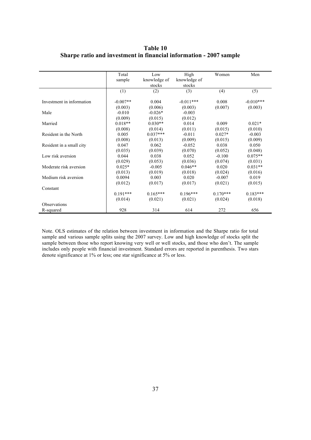**Table 10 Sharpe ratio and investment in financial information - 2007 sample**

|                           | Total      | Low          | High         | Women      | Men         |
|---------------------------|------------|--------------|--------------|------------|-------------|
|                           | sample     | knowledge of | knowledge of |            |             |
|                           |            | stocks       | stocks       |            |             |
|                           | (1)        | (2)          | (3)          | (4)        | (5)         |
| Investment in information | $-0.007**$ | 0.004        | $-0.011***$  | 0.008      | $-0.010***$ |
|                           | (0.003)    | (0.006)      | (0.003)      | (0.007)    | (0.003)     |
| Male                      | $-0.010$   | $-0.026*$    | $-0.003$     |            |             |
|                           | (0.009)    | (0.015)      | (0.012)      |            |             |
| Married                   | $0.018**$  | $0.030**$    | 0.014        | 0.009      | $0.021*$    |
|                           | (0.008)    | (0.014)      | (0.011)      | (0.015)    | (0.010)     |
| Resident in the North     | 0.005      | $0.037***$   | $-0.011$     | $0.027*$   | $-0.003$    |
|                           | (0.008)    | (0.013)      | (0.009)      | (0.015)    | (0.009)     |
| Resident in a small city  | 0.047      | 0.062        | $-0.052$     | 0.038      | 0.050       |
|                           | (0.035)    | (0.039)      | (0.070)      | (0.052)    | (0.048)     |
| Low risk aversion         | 0.044      | 0.038        | 0.052        | $-0.100$   | $0.075**$   |
|                           | (0.029)    | (0.053)      | (0.036)      | (0.074)    | (0.031)     |
| Moderate risk aversion    | $0.025*$   | $-0.005$     | $0.046**$    | 0.020      | $0.031**$   |
|                           | (0.013)    | (0.019)      | (0.018)      | (0.024)    | (0.016)     |
| Medium risk aversion      | 0.0094     | 0.003        | 0.020        | $-0.007$   | 0.019       |
|                           | (0.012)    | (0.017)      | (0.017)      | (0.021)    | (0.015)     |
| Constant                  |            |              |              |            |             |
|                           | $0.191***$ | $0.165***$   | $0.196***$   | $0.170***$ | $0.183***$  |
|                           | (0.014)    | (0.021)      | (0.021)      | (0.024)    | (0.018)     |
| <b>Observations</b>       |            |              |              |            |             |
| R-squared                 | 928        | 314          | 614          | 272        | 656         |

Note. OLS estimates of the relation between investment in information and the Sharpe ratio for total sample and various sample splits using the 2007 survey. Low and high knowledge of stocks split the sample between those who report knowing very well or well stocks, and those who don't. The sample includes only people with financial investment. Standard errors are reported in parenthesis. Two stars denote significance at 1% or less; one star significance at 5% or less.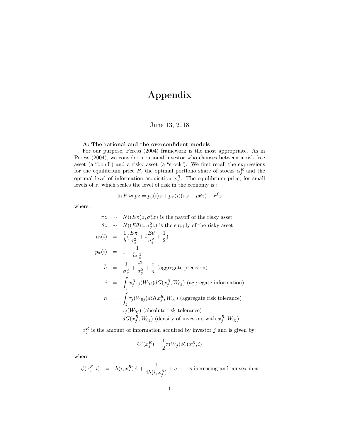## Appendix

## June 13, 2018

#### A: The rational and the overconfident models

For our purpose, Peress (2004) framework is the most appropriate. As in Peress (2004), we consider a rational investor who chooses between a risk free asset (a "bond") and a risky asset (a "stock"). We first recall the expressions for the equilibrium price P, the optimal portfolio share of stocks  $\alpha_j^R$  and the optimal level of information acquisition  $x_j^R$ . The equilibrium price, for small levels of  $z$ , which scales the level of risk in the economy is :

$$
\ln P \approx pz = p_0(i)z + p_\pi(i)(\pi z - \mu \theta z) - r^f z
$$

where:

$$
\pi z \sim N((E\pi)z, \sigma_{\pi}^2 z)
$$
 is the payoff of the risky asset  
\n
$$
\theta z \sim N((E\theta)z, \sigma_{\theta}^2 z)
$$
 is the supply of the risky asset  
\n
$$
p_0(i) = \frac{1}{\bar{h}}(\frac{E\pi}{\sigma_{\pi}^2} + i\frac{E\theta}{\sigma_{\theta}^2} + \frac{1}{2})
$$
  
\n
$$
p_{\pi}(i) = 1 - \frac{1}{\bar{h}\sigma_{\pi}^2}
$$
  
\n
$$
\bar{h} = \frac{1}{\sigma_{\pi}^2} + \frac{i^2}{\sigma_{\theta}^2} + \frac{i}{n}
$$
 (aggregate precision)  
\n
$$
i = \int_{j} x_{j}^{R} \tau_{j}(W_{0j}) dG(x_{j}^{R}, W_{0j})
$$
 (aggregate information)  
\n
$$
n = \int_{j} \tau_{j}(W_{0j}) dG(x_{j}^{R}, W_{0j})
$$
 (aggregate risk tolerance)  
\n
$$
\tau_{j}(W_{0j})
$$
 (absolute risk tolerance)  
\n
$$
dG(x_{j}^{R}, W_{0j})
$$
 (density of investors with  $x_{j}^{R}, W_{0j}$ )

 $x_j^R$  is the amount of information acquired by investor j and is given by:

$$
C'(x_j^R) = \frac{1}{2}\tau(W_j)\phi'_x(x_j^R, i)
$$

where:

$$
\phi(x_j^R, i) \;\; = \;\; h(i, x_j^R)A + \frac{1}{4h(i, x_j^R)} + q - 1 \text{ is increasing and convex in } x
$$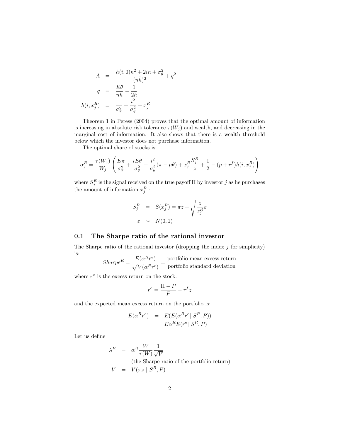$$
A = \frac{h(i,0)n^2 + 2in + \sigma_{\theta}^2}{(n\bar{h})^2} + q^2
$$

$$
q = \frac{E\theta}{n\bar{h}} - \frac{1}{2\bar{h}}
$$

$$
h(i, x_j^R) = \frac{1}{\sigma_{\pi}^2} + \frac{i^2}{\sigma_{\theta}^2} + x_j^R
$$

Theorem 1 in Peress (2004) proves that the optimal amount of information is increasing in absolute risk tolerance  $\tau(W_j)$  and wealth, and decreasing in the marginal cost of information. It also shows that there is a wealth threshold below which the investor does not purchase information.

The optimal share of stocks is:

$$
\alpha_j^R = \frac{\tau(W_j)}{W_j} \left( \frac{E\pi}{\sigma_\pi^2} + \frac{iE\theta}{\sigma_\theta^2} + \frac{i^2}{\sigma_\theta^2} (\pi - \mu\theta) + x_j^R \frac{S_j^R}{z} + \frac{1}{2} - (p + r^f)h(i, x_j^R) \right)
$$

where  $S_j^R$  is the signal received on the true payoff  $\Pi$  by investor j as he purchases the amount of information  $x_j^R$ :

$$
S_j^R = S(x_j^R) = \pi z + \sqrt{\frac{z}{x_j^R}} \varepsilon
$$
  

$$
\varepsilon \sim N(0, 1)
$$

#### 0.1 The Sharpe ratio of the rational investor

The Sharpe ratio of the rational investor (dropping the index  $j$  for simplicity) is:

$$
Sharpe^{R} = \frac{E(\alpha^{R}r^{e})}{\sqrt{V(\alpha^{R}r^{e})}} = \frac{\text{portfolio mean excess return}}{\text{portfolio standard deviation}}
$$

where  $r^e$  is the excess return on the stock:

$$
r^e = \frac{\Pi - P}{P} - r^f z
$$

and the expected mean excess return on the portfolio is:

$$
E(\alpha^R r^e) = E(E(\alpha^R r^e | S^R, P))
$$
  
=  $E\alpha^R E(r^e | S^R, P)$ 

Let us define

$$
\lambda^{R} = \alpha^{R} \frac{W}{\tau(W)} \frac{1}{\sqrt{V}}
$$
  
(the Sharpe ratio of the portfolio return)  

$$
V = V(\pi z \mid S^{R}, P)
$$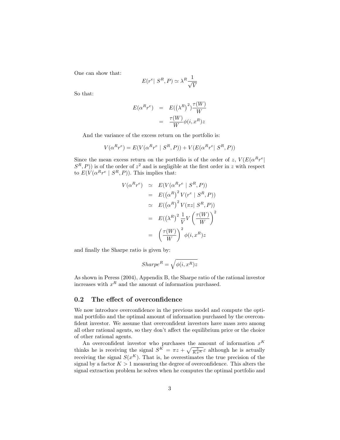One can show that:

$$
E(r^e | S^R, P) \simeq \lambda^R \frac{1}{\sqrt{V}}
$$

So that:

$$
E(\alpha^{R} r^{e}) = E((\lambda^{R})^{2}) \frac{\tau(W)}{W}
$$

$$
= \frac{\tau(W)}{W} \phi(i, x^{R}) z
$$

And the variance of the excess return on the portfolio is:

$$
V(\alpha^{R}r^{e}) = E(V(\alpha^{R}r^{e} \mid S^{R}, P)) + V(E(\alpha^{R}r^{e} \mid S^{R}, P))
$$

Since the mean excess return on the portfolio is of the order of z,  $V(E(\alpha^R r^e))$  $(S<sup>R</sup>, P)$ ) is of the order of  $z<sup>2</sup>$  and is negligible at the first order in z with respect to  $E(V(\alpha^R r^e \mid S^R, P)).$  This implies that:

$$
V(\alpha^{R}r^{e}) \simeq E(V(\alpha^{R}r^{e} | S^{R}, P))
$$
  
\n
$$
= E((\alpha^{R})^{2} V(r^{e} | S^{R}, P))
$$
  
\n
$$
\simeq E((\alpha^{R})^{2} V(\pi z | S^{R}, P))
$$
  
\n
$$
= E((\lambda^{R})^{2} \frac{1}{V} V(\frac{\tau(W)}{W}))^{2}
$$
  
\n
$$
= (\frac{\tau(W)}{W})^{2} \phi(i, x^{R})z
$$

and finally the Sharpe ratio is given by:

$$
Sharpe^R = \sqrt{\phi(i, x^R)z}
$$

As shown in Peress (2004), Appendix B, the Sharpe ratio of the rational investor increases with  $x^R$  and the amount of information purchased.

## 0.2 The effect of overconfidence

We now introduce overconfidence in the previous model and compute the optimal portfolio and the optimal amount of information purchased by the overconfident investor. We assume that overconfident investors have mass zero among all other rational agents, so they don't affect the equilibrium price or the choice of other rational agents.

An overconfident investor who purchases the amount of information  $x^K$ thinks he is receiving the signal  $S^K = \pi z + \sqrt{\frac{z}{Kx^K}} \varepsilon$  although he is actually receiving the signal  $S(x^K)$ . That is, he overestimates the true precision of the signal by a factor  $K > 1$  measuring the degree of overconfidence. This alters the signal extraction problem he solves when he computes the optimal portfolio and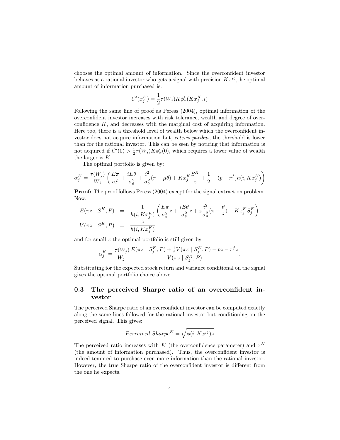chooses the optimal amount of information. Since the overconfident investor behaves as a rational investor who gets a signal with precision  $Kx^K$ , the optimal amount of information purchased is:

$$
C'(x_j^K) = \frac{1}{2}\tau(W_j)K\phi'_x(Kx_j^K, i)
$$

Following the same line of proof as Peress (2004), optimal information of the overconfident investor increases with risk tolerance, wealth and degree of overconfidence K, and decreases with the marginal cost of acquiring information. Here too, there is a threshold level of wealth below which the overconfident investor does not acquire information but, ceteris paribus, the threshold is lower than for the rational investor. This can be seen by noticing that information is not acquired if  $C'(0) > \frac{1}{2}\tau(W_j)K\phi'_x(0)$ , which requires a lower value of wealth the larger is K.

The optimal portfolio is given by:

$$
\alpha_j^K = \frac{\tau(W_j)}{W_j}\left(\frac{E\pi}{\sigma_\pi^2}+\frac{iE\theta}{\sigma_\theta^2}+\frac{i^2}{\sigma_\theta^2}(\pi-\mu\theta)+Kx_j^K\frac{S^K}{z}+\frac{1}{2}-(p+r^f)h(i,Kx_j^K)\right)
$$

Proof: The proof follows Peress (2004) except for the signal extraction problem. Now:

$$
E(\pi z \mid S^K, P) = \frac{1}{h(i, Kx_j^K)} \left( \frac{E\pi}{\sigma_{\pi}^2} z + \frac{iE\theta}{\sigma_{\theta}^2} z + z \frac{i^2}{\sigma_{\theta}^2} (\pi - \frac{\theta}{i}) + Kx_j^K S_j^K \right)
$$
  

$$
V(\pi z \mid S^K, P) = \frac{z}{h(i, Kx_j^K)}
$$

and for small  $z$  the optimal portfolio is still given by :

$$
\alpha_j^K = \frac{\tau(W_j)}{W_j} \frac{E(\pi z \mid S_j^K, P) + \frac{1}{2}V(\pi z \mid S_j^K, P) - pz - r^f z}{V(\pi z \mid S_j^K, P)}.
$$

Substituting for the expected stock return and variance conditional on the signal gives the optimal portfolio choice above.

## 0.3 The perceived Sharpe ratio of an overconfident investor

The perceived Sharpe ratio of an overconfident investor can be computed exactly along the same lines followed for the rational investor but conditioning on the perceived signal. This gives:

$$
Perceived\ Sharpe^{K}=\sqrt{\phi(i,Kx^{K})z}
$$

The perceived ratio increases with K (the overconfidence parameter) and  $x^K$ (the amount of information purchased). Thus, the overconfident investor is indeed tempted to purchase even more information than the rational investor. However, the true Sharpe ratio of the overconfident investor is different from the one he expects.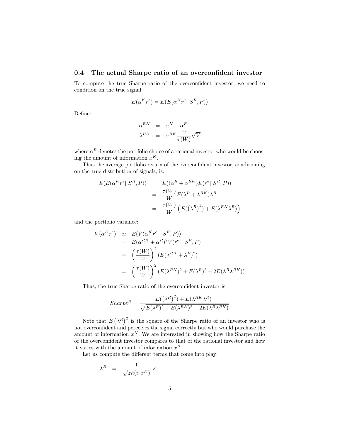#### 0.4 The actual Sharpe ratio of an overconfident investor

To compute the true Sharpe ratio of the overconfident investor, we need to condition on the true signal:

$$
E(\alpha^{K}r^{e}) = E(E(\alpha^{K}r^{e} | S^{R}, P))
$$

Define:

$$
\begin{array}{rcl}\n\alpha^{RK} & = & \alpha^K - \alpha^R \\
\lambda^{RK} & = & \alpha^{RK} \frac{W}{\tau(W)} \sqrt{V}\n\end{array}
$$

where  $\alpha^R$  denotes the portfolio choice of a rational investor who would be choosing the amount of information  $x^K$ .

Thus the average portfolio return of the overconfident investor, conditioning on the true distribution of signals, is:

$$
E(E(\alpha^{K}r^{e} | S^{R}, P)) = E((\alpha^{R} + \alpha^{RK})E(r^{e} | S^{R}, P))
$$
  

$$
= \frac{\tau(W)}{W}E(\lambda^{R} + \lambda^{RK})\lambda^{R}
$$
  

$$
= \frac{\tau(W)}{W} (E((\lambda^{R})^{2}) + E(\lambda^{RK}\lambda^{R}))
$$

and the portfolio variance:

$$
V(\alpha^{K}r^{e}) \simeq E(V(\alpha^{K}r^{e} \mid S^{R}, P))
$$
  
\n
$$
= E(\alpha^{RK} + \alpha^{R})^{2}V(r^{e} \mid S^{R}, P)
$$
  
\n
$$
= \left(\frac{\tau(W)}{W}\right)^{2} (E(\lambda^{RK} + \lambda^{R})^{2})
$$
  
\n
$$
= \left(\frac{\tau(W)}{W}\right)^{2} (E(\lambda^{RK})^{2} + E(\lambda^{R})^{2} + 2E(\lambda^{R}\lambda^{RK}))
$$

Thus, the true Sharpe ratio of the overconfident investor is:

$$
Sharpe^{K} = \frac{E((\lambda^{R})^{2}) + E(\lambda^{RK} \lambda^{R})}{\sqrt{E(\lambda^{R})^{2} + E(\lambda^{RK})^{2} + 2E(\lambda^{R} \lambda^{RK})}}
$$

Note that  $E(\lambda^R)^2$  is the square of the Sharpe ratio of an investor who is not overconfident and perceives the signal correctly but who would purchase the amount of information  $x^K$ . We are interested in showing how the Sharpe ratio of the overconfident investor compares to that of the rational investor and how it varies with the amount of information  $x^K$ .

Let us compute the different terms that come into play:

$$
\lambda^R = \frac{1}{\sqrt{zh(i, x^K)}} \times
$$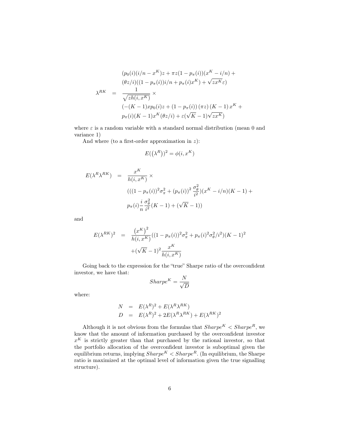$$
(p_0(i)(i/n - x^K)z + \pi z(1 - p_{\pi}(i))(x^K - i/n) +
$$
  
\n
$$
(\theta z/i)((1 - p_{\pi}(i))i/n + p_{\pi}(i)x^K) + \sqrt{zx^K}\varepsilon)
$$
  
\n
$$
\lambda^{RK} = \frac{1}{\sqrt{zh(i, x^K)}} \times
$$
  
\n
$$
(-(K - 1)xp_0(i)z + (1 - p_{\pi}(i))(\pi z)(K - 1)x^K +
$$
  
\n
$$
p_{\pi}(i)(K - 1)x^K(\theta z/i) + \varepsilon(\sqrt{K} - 1)\sqrt{zx^K})
$$

where  $\varepsilon$  is a random variable with a standard normal distribution (mean 0 and variance 1)

And where (to a first-order approximation in  $z$ ):

$$
E((\lambda^R))^2 = \phi(i, x^K)
$$

$$
E(\lambda^{R} \lambda^{RK}) = \frac{x^{K}}{h(i, x^{K})} \times
$$
  

$$
(((1 - p_{\pi}(i))^{2} \sigma_{\pi}^{2} + (p_{\pi}(i))^{2} \frac{\sigma_{\theta}^{2}}{i^{2}})(x^{K} - i/n)(K - 1) +
$$
  

$$
p_{\pi}(i) \frac{i}{n} \frac{\sigma_{\theta}^{2}}{i^{2}}(K - 1) + (\sqrt{K} - 1))
$$

and

$$
E(\lambda^{RK})^2 = \frac{(x^K)^2}{h(i, x^K)}((1 - p_\pi(i))^2 \sigma_\pi^2 + p_\pi(i)^2 \sigma_\theta^2/i^2)(K - 1)^2
$$

$$
+(\sqrt{K} - 1)^2 \frac{x^K}{h(i, x^K)}
$$

Going back to the expression for the "true" Sharpe ratio of the overconfident investor, we have that:

$$
Sharpe^K = \frac{N}{\sqrt{D}}
$$

where:

$$
N = E(\lambda^R)^2 + E(\lambda^R \lambda^{RK})
$$
  
\n
$$
D = E(\lambda^R)^2 + 2E(\lambda^R \lambda^{RK}) + E(\lambda^{RK})^2
$$

Although it is not obvious from the formulas that  $Sharpe^{K} < Sharpe^{R}$ , we know that the amount of information purchased by the overconfident investor  $x^K$  is strictly greater than that purchased by the rational investor, so that the portfolio allocation of the overconfident investor is suboptimal given the equilibrium returns, implying  $Share^K < Sharpe^R$ . (In equilibrium, the Sharpe ratio is maximized at the optimal level of information given the true signalling structure).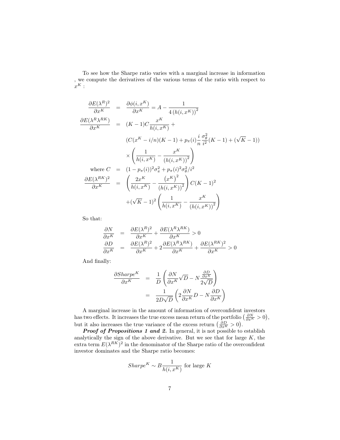To see how the Sharpe ratio varies with a marginal increase in information , we compute the derivatives of the various terms of the ratio with respect to  $x^K$  :

$$
\frac{\partial E(\lambda^{R})^{2}}{\partial x^{K}} = \frac{\partial \phi(i, x^{K})}{\partial x^{K}} = A - \frac{1}{4(h(i, x^{K}))^{2}}
$$
\n
$$
\frac{\partial E(\lambda^{R} \lambda^{RK})}{\partial x^{K}} = (K - 1)C \frac{x^{K}}{h(i, x^{K})} +
$$
\n
$$
(C(x^{K} - i/n)(K - 1) + p_{\pi}(i) \frac{i}{n} \frac{\sigma_{\theta}^{2}}{i^{2}} (K - 1) + (\sqrt{K} - 1))
$$
\n
$$
\times \left(\frac{1}{h(i, x^{K})} - \frac{x^{K}}{(h(i, x^{K}))^{2}}\right)
$$
\nwhere  $C = (1 - p_{\pi}(i))^{2} \sigma_{\pi}^{2} + p_{\pi}(i)^{2} \sigma_{\theta}^{2} / i^{2}$ \n
$$
\frac{\partial E(\lambda^{RK})^{2}}{\partial x^{K}} = \left(\frac{2x^{K}}{h(i, x^{K})} - \frac{(x^{K})^{2}}{(h(i, x^{K}))^{2}}\right) C(K - 1)^{2}
$$
\n
$$
+ (\sqrt{K} - 1)^{2} \left(\frac{1}{h(i, x^{K})} - \frac{x^{K}}{(h(i, x^{K}))^{2}}\right)
$$

So that:

$$
\frac{\partial N}{\partial x^{K}} = \frac{\partial E(\lambda^{R})^{2}}{\partial x^{K}} + \frac{\partial E(\lambda^{R}\lambda^{RK})}{\partial x^{K}} > 0
$$
  

$$
\frac{\partial D}{\partial x^{K}} = \frac{\partial E(\lambda^{R})^{2}}{\partial x^{K}} + 2\frac{\partial E(\lambda^{R}\lambda^{RK})}{\partial x^{K}} + \frac{\partial E(\lambda^{RK})^{2}}{\partial x^{K}} > 0
$$

And finally:

$$
\frac{\partial Sharpe^{K}}{\partial x^{K}} = \frac{1}{D} \left( \frac{\partial N}{\partial x^{K}} \sqrt{D} - N \frac{\frac{\partial D}{\partial x^{K}}}{2\sqrt{D}} \right)
$$

$$
= \frac{1}{2D\sqrt{D}} \left( 2 \frac{\partial N}{\partial x^{K}} D - N \frac{\partial D}{\partial x^{K}} \right)
$$

A marginal increase in the amount of information of overconfident investors has two effects. It increases the true excess mean return of the portfolio  $\left(\frac{\partial N}{\partial x^K} > 0\right)$ , but it also increases the true variance of the excess return  $\left(\frac{\partial D}{\partial x^K} > 0\right)$ .

**Proof of Propositions 1 and 2.** In general, it is not possible to establish analytically the sign of the above derivative. But we see that for large  $K$ , the extra term  $E(\lambda^{RK})^2$  in the denominator of the Sharpe ratio of the overconfident investor dominates and the Sharpe ratio becomes:

$$
Sharpe^K \sim B \frac{1}{h(i, x^K)}
$$
 for large K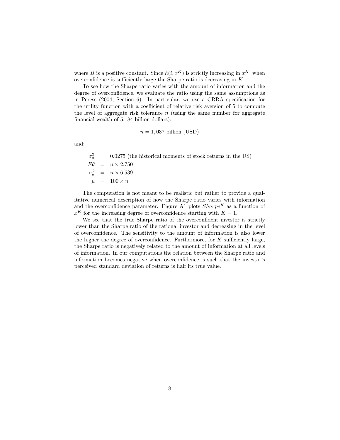where B is a positive constant. Since  $h(i, x^K)$  is strictly increasing in  $x^K$ , when overconfidence is sufficiently large the Sharpe ratio is decreasing in  $K$ .

To see how the Sharpe ratio varies with the amount of information and the degree of overconfidence, we evaluate the ratio using the same assumptions as in Peress (2004, Section 6). In particular, we use a CRRA specification for the utility function with a coefficient of relative risk aversion of 5 to compute the level of aggregate risk tolerance  $n$  (using the same number for aggregate financial wealth of 5,184 billion dollars):

 $n = 1,037$  billion (USD)

and:

 $\sigma_{\pi}^2$  = 0.0275 (the historical moments of stock returns in the US)  $E\theta = n \times 2.750$  $\sigma_{\theta}^2$  =  $n \times 6.539$  $\mu$  = 100 × n

The computation is not meant to be realistic but rather to provide a qualitative numerical description of how the Sharpe ratio varies with information and the overconfidence parameter. Figure A1 plots  $Sharpe^{K}$  as a function of  $x^K$  for the increasing degree of overconfidence starting with  $K = 1$ .

We see that the true Sharpe ratio of the overconfident investor is strictly lower than the Sharpe ratio of the rational investor and decreasing in the level of overconfidence. The sensitivity to the amount of information is also lower the higher the degree of overconfidence. Furthermore, for  $K$  sufficiently large, the Sharpe ratio is negatively related to the amount of information at all levels of information. In our computations the relation between the Sharpe ratio and information becomes negative when overconfidence is such that the investor's perceived standard deviation of returns is half its true value.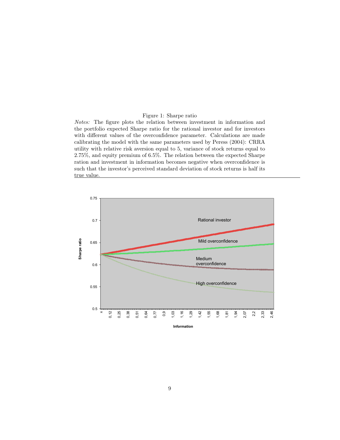#### Figure 1: Sharpe ratio

Notes: The figure plots the relation between investment in information and the portfolio expected Sharpe ratio for the rational investor and for investors with different values of the overconfidence parameter. Calculations are made calibrating the model with the same parameters used by Peress (2004): CRRA utility with relative risk aversion equal to 5, variance of stock returns equal to 2.75%, and equity premium of 6.5%. The relation between the expected Sharpe ration and investment in information becomes negative when overconfidence is such that the investor's perceived standard deviation of stock returns is half its true value.

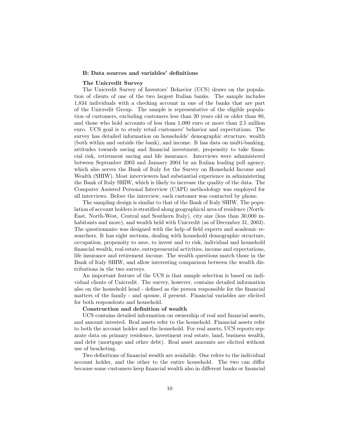#### B: Data sources and variables' definitions

#### The Unicredit Survey

The Unicredit Survey of Investors' Behavior (UCS) draws on the population of clients of one of the two largest Italian banks. The sample includes 1,834 individuals with a checking account in one of the banks that are part of the Unicredit Group. The sample is representative of the eligible population of customers, excluding customers less than 20 years old or older than 80, and those who hold accounts of less than 1,000 euro or more than 2.5 million euro. UCS goal is to study retail customers' behavior and expectations. The survey has detailed information on households' demographic structure, wealth (both within and outside the bank), and income. It has data on multi-banking, attitudes towards saving and financial investment, propensity to take financial risk, retirement saving and life insurance. Interviews were administered between September 2003 and January 2004 by an Italian leading poll agency, which also serves the Bank of Italy for the Survey on Household Income and Wealth (SHIW). Most interviewers had substantial experience in administering the Bank of Italy SHIW, which is likely to increase the quality of the data. The Computer Assisted Personal Interview (CAPI) methodology was employed for all interviews. Before the interview, each customer was contacted by phone.

The sampling design is similar to that of the Bank of Italy SHIW. The population of account holders is stratified along geographical area of residence (North-East, North-West, Central and Southern Italy), city size (less than 30,000 inhabitants and more), and wealth held with Unicredit (as of December 31, 2003). The questionnaire was designed with the help of field experts and academic researchers. It has eight sections, dealing with household demographic structure, occupation, propensity to save, to invest and to risk, individual and household financial wealth, real estate, entrepreneurial activities, income and expectations, life insurance and retirement income. The wealth questions match those in the Bank of Italy SHIW, and allow interesting comparison between the wealth distributions in the two surveys.

An important feature of the UCS is that sample selection is based on individual clients of Unicredit. The survey, however, contains detailed information also on the household head - defined as the person responsible for the financial matters of the family - and spouse, if present. Financial variables are elicited for both respondents and household.

#### Construction and definition of wealth

UCS contains detailed information on ownership of real and financial assets, and amount invested. Real assets refer to the household. Financial assets refer to both the account holder and the household. For real assets, UCS reports separate data on primary residence, investment real estate, land, business wealth, and debt (mortgage and other debt). Real asset amounts are elicited without use of bracketing.

Two definitions of financial wealth are available. One refers to the individual account holder, and the other to the entire household. The two can differ because some customers keep financial wealth also in different banks or financial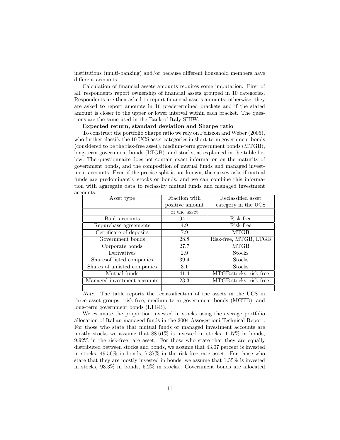institutions (multi-banking) and/or because different household members have different accounts.

Calculation of financial assets amounts requires some imputation. First of all, respondents report ownership of financial assets grouped in 10 categories. Respondents are then asked to report financial assets amounts; otherwise, they are asked to report amounts in 16 predetermined brackets and if the stated amount is closer to the upper or lower interval within each bracket. The questions are the same used in the Bank of Italy SHIW.

#### Expected return, standard deviation and Sharpe ratio

To construct the portfolio Sharpe ratio we rely on Pelizzon and Weber (2005), who further classify the 10 UCS asset categories in short-term government bonds (considered to be the risk-free asset), medium-term government bonds (MTGB), long-term government bonds (LTGB), and stocks, as explained in the table below. The questionnaire does not contain exact information on the maturity of government bonds, and the composition of mutual funds and managed investment accounts. Even if the precise split is not known, the survey asks if mutual funds are predominantly stocks or bonds, and we can combine this information with aggregate data to reclassify mutual funds and managed investment accounts.

| Asset type                   | Fraction with   | Reclassified asset      |
|------------------------------|-----------------|-------------------------|
|                              | positive amount | category in the UCS     |
|                              | of the asset    |                         |
| Bank accounts                | 94.1            | Risk-free               |
| Repurchase agreements        | 4.9             | Risk-free               |
| Certificate of deposits      | 7.9             | MTGB                    |
| Government bonds             | 28.8            | Risk-free, MTGB, LTGB   |
| Corporate bonds              | 27.7            | <b>MTGB</b>             |
| Derivatives                  | 2.9             | <b>Stocks</b>           |
| Sharesof listed companies    | 39.4            | <b>Stocks</b>           |
| Shares of unlisted companies | 3.1             | <b>Stocks</b>           |
| Mutual funds                 | 41.4            | MTGB, stocks, risk-free |
| Managed investment accounts  | 23.3            | MTGB, stocks, risk-free |
|                              |                 |                         |

Note. The table reports the reclassification of the assets in the UCS in three asset groups: risk-free, medium term government bonds (MGTB), and long-term government bonds (LTGB).

We estimate the proportion invested in stocks using the average portfolio allocation of Italian managed funds in the 2004 Assogestioni Technical Report. For those who state that mutual funds or managed investment accounts are mostly stocks we assume that 88.61% is invested in stocks, 1.47% in bonds, 9.92% in the risk-free rate asset. For those who state that they are equally distributed between stocks and bonds, we assume that 43.07 percent is invested in stocks, 49.56% in bonds, 7.37% in the risk-free rate asset. For those who state that they are mostly invested in bonds, we assume that 1.55% is invested in stocks, 93.3% in bonds, 5.2% in stocks. Government bonds are allocated